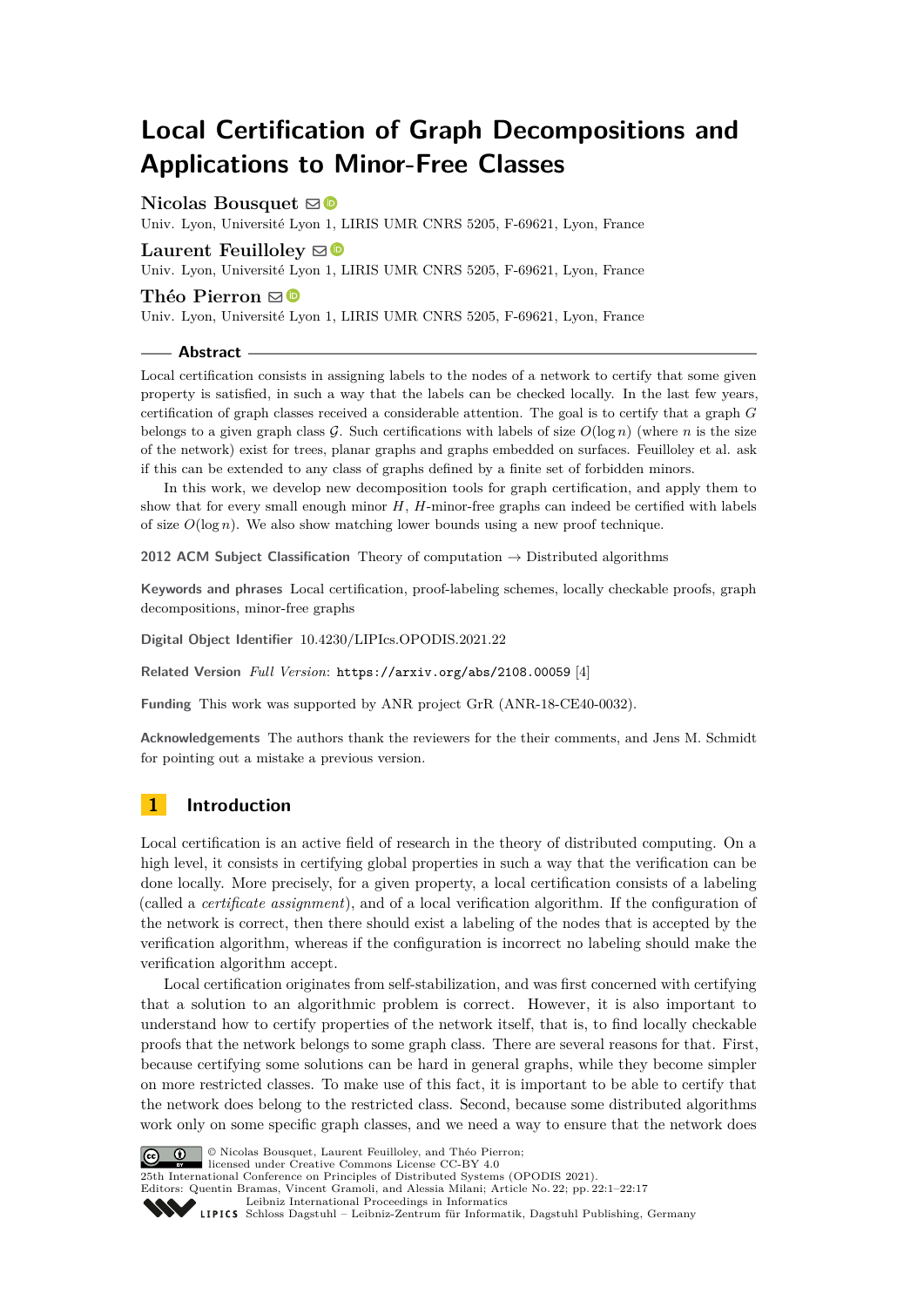# **Local Certification of Graph Decompositions and Applications to Minor-Free Classes**

# **Nicolas Bousquet** [!](mailto:nicolas.bousquet@univ-lyon1.fr)

Univ. Lyon, Université Lyon 1, LIRIS UMR CNRS 5205, F-69621, Lyon, France

# **Laurent Feuilloley**  $\mathbf{\mathbb{S}}$

Univ. Lyon, Université Lyon 1, LIRIS UMR CNRS 5205, F-69621, Lyon, France

#### **Théo Pierron** [!](mailto:theo.pierron@univ-lyon1.fr)

Univ. Lyon, Université Lyon 1, LIRIS UMR CNRS 5205, F-69621, Lyon, France

#### **Abstract**

Local certification consists in assigning labels to the nodes of a network to certify that some given property is satisfied, in such a way that the labels can be checked locally. In the last few years, certification of graph classes received a considerable attention. The goal is to certify that a graph *G* belongs to a given graph class  $G$ . Such certifications with labels of size  $O(\log n)$  (where *n* is the size of the network) exist for trees, planar graphs and graphs embedded on surfaces. Feuilloley et al. ask if this can be extended to any class of graphs defined by a finite set of forbidden minors.

In this work, we develop new decomposition tools for graph certification, and apply them to show that for every small enough minor *H*, *H*-minor-free graphs can indeed be certified with labels of size  $O(\log n)$ . We also show matching lower bounds using a new proof technique.

**2012 ACM Subject Classification** Theory of computation → Distributed algorithms

**Keywords and phrases** Local certification, proof-labeling schemes, locally checkable proofs, graph decompositions, minor-free graphs

**Digital Object Identifier** [10.4230/LIPIcs.OPODIS.2021.22](https://doi.org/10.4230/LIPIcs.OPODIS.2021.22)

**Related Version** *Full Version*: <https://arxiv.org/abs/2108.00059> [\[4\]](#page-15-0)

**Funding** This work was supported by ANR project GrR (ANR-18-CE40-0032).

**Acknowledgements** The authors thank the reviewers for the their comments, and Jens M. Schmidt for pointing out a mistake a previous version.

# **1 Introduction**

Local certification is an active field of research in the theory of distributed computing. On a high level, it consists in certifying global properties in such a way that the verification can be done locally. More precisely, for a given property, a local certification consists of a labeling (called a *certificate assignment*), and of a local verification algorithm. If the configuration of the network is correct, then there should exist a labeling of the nodes that is accepted by the verification algorithm, whereas if the configuration is incorrect no labeling should make the verification algorithm accept.

Local certification originates from self-stabilization, and was first concerned with certifying that a solution to an algorithmic problem is correct. However, it is also important to understand how to certify properties of the network itself, that is, to find locally checkable proofs that the network belongs to some graph class. There are several reasons for that. First, because certifying some solutions can be hard in general graphs, while they become simpler on more restricted classes. To make use of this fact, it is important to be able to certify that the network does belong to the restricted class. Second, because some distributed algorithms work only on some specific graph classes, and we need a way to ensure that the network does



© Nicolas Bousquet, Laurent Feuilloley, and Théo Pierron; licensed under Creative Commons License CC-BY 4.0

25th International Conference on Principles of Distributed Systems (OPODIS 2021).

Editors: Quentin Bramas, Vincent Gramoli, and Alessia Milani; Article No. 22; pp. 22:1–22:17

[Leibniz International Proceedings in Informatics](https://www.dagstuhl.de/lipics/)

[Schloss Dagstuhl – Leibniz-Zentrum für Informatik, Dagstuhl Publishing, Germany](https://www.dagstuhl.de)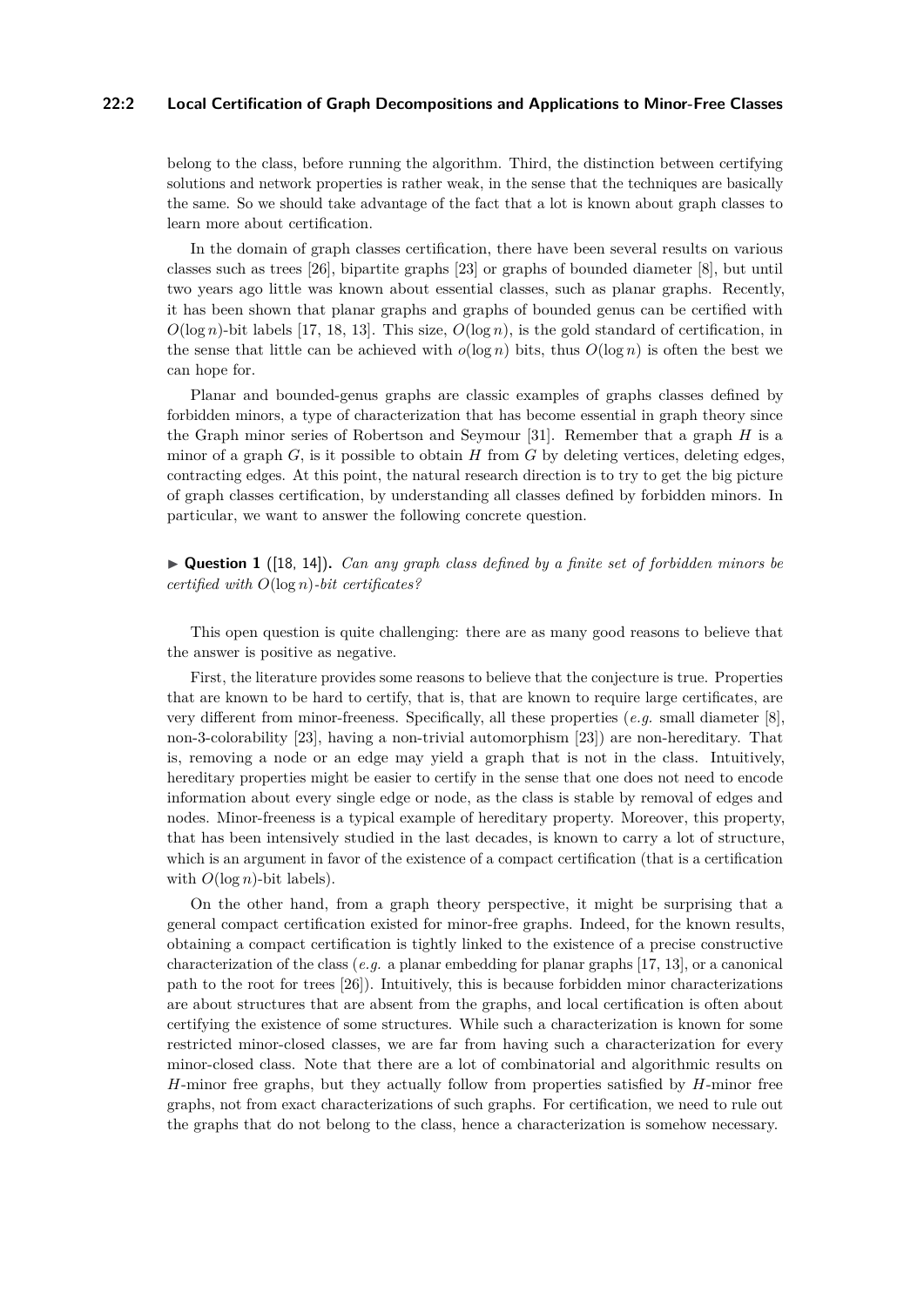# **22:2 Local Certification of Graph Decompositions and Applications to Minor-Free Classes**

belong to the class, before running the algorithm. Third, the distinction between certifying solutions and network properties is rather weak, in the sense that the techniques are basically the same. So we should take advantage of the fact that a lot is known about graph classes to learn more about certification.

In the domain of graph classes certification, there have been several results on various classes such as trees [\[26\]](#page-16-0), bipartite graphs [\[23\]](#page-16-1) or graphs of bounded diameter [\[8\]](#page-15-1), but until two years ago little was known about essential classes, such as planar graphs. Recently, it has been shown that planar graphs and graphs of bounded genus can be certified with  $O(\log n)$ -bit labels [\[17,](#page-15-2) [18,](#page-15-3) [13\]](#page-15-4). This size,  $O(\log n)$ , is the gold standard of certification, in the sense that little can be achieved with  $o(\log n)$  bits, thus  $O(\log n)$  is often the best we can hope for.

Planar and bounded-genus graphs are classic examples of graphs classes defined by forbidden minors, a type of characterization that has become essential in graph theory since the Graph minor series of Robertson and Seymour [\[31\]](#page-16-2). Remember that a graph *H* is a minor of a graph  $G$ , is it possible to obtain  $H$  from  $G$  by deleting vertices, deleting edges, contracting edges. At this point, the natural research direction is to try to get the big picture of graph classes certification, by understanding all classes defined by forbidden minors. In particular, we want to answer the following concrete question.

<span id="page-1-0"></span>▶ **Question 1** ([\[18,](#page-15-3) [14\]](#page-15-5))**.** *Can any graph class defined by a finite set of forbidden minors be certified with O*(log *n*)*-bit certificates?*

This open question is quite challenging: there are as many good reasons to believe that the answer is positive as negative.

First, the literature provides some reasons to believe that the conjecture is true. Properties that are known to be hard to certify, that is, that are known to require large certificates, are very different from minor-freeness. Specifically, all these properties (*e.g.* small diameter [\[8\]](#page-15-1), non-3-colorability [\[23\]](#page-16-1), having a non-trivial automorphism [\[23\]](#page-16-1)) are non-hereditary. That is, removing a node or an edge may yield a graph that is not in the class. Intuitively, hereditary properties might be easier to certify in the sense that one does not need to encode information about every single edge or node, as the class is stable by removal of edges and nodes. Minor-freeness is a typical example of hereditary property. Moreover, this property, that has been intensively studied in the last decades, is known to carry a lot of structure, which is an argument in favor of the existence of a compact certification (that is a certification with  $O(\log n)$ -bit labels).

On the other hand, from a graph theory perspective, it might be surprising that a general compact certification existed for minor-free graphs. Indeed, for the known results, obtaining a compact certification is tightly linked to the existence of a precise constructive characterization of the class (*e.g.* a planar embedding for planar graphs [\[17,](#page-15-2) [13\]](#page-15-4), or a canonical path to the root for trees [\[26\]](#page-16-0)). Intuitively, this is because forbidden minor characterizations are about structures that are absent from the graphs, and local certification is often about certifying the existence of some structures. While such a characterization is known for some restricted minor-closed classes, we are far from having such a characterization for every minor-closed class. Note that there are a lot of combinatorial and algorithmic results on *H*-minor free graphs, but they actually follow from properties satisfied by *H*-minor free graphs, not from exact characterizations of such graphs. For certification, we need to rule out the graphs that do not belong to the class, hence a characterization is somehow necessary.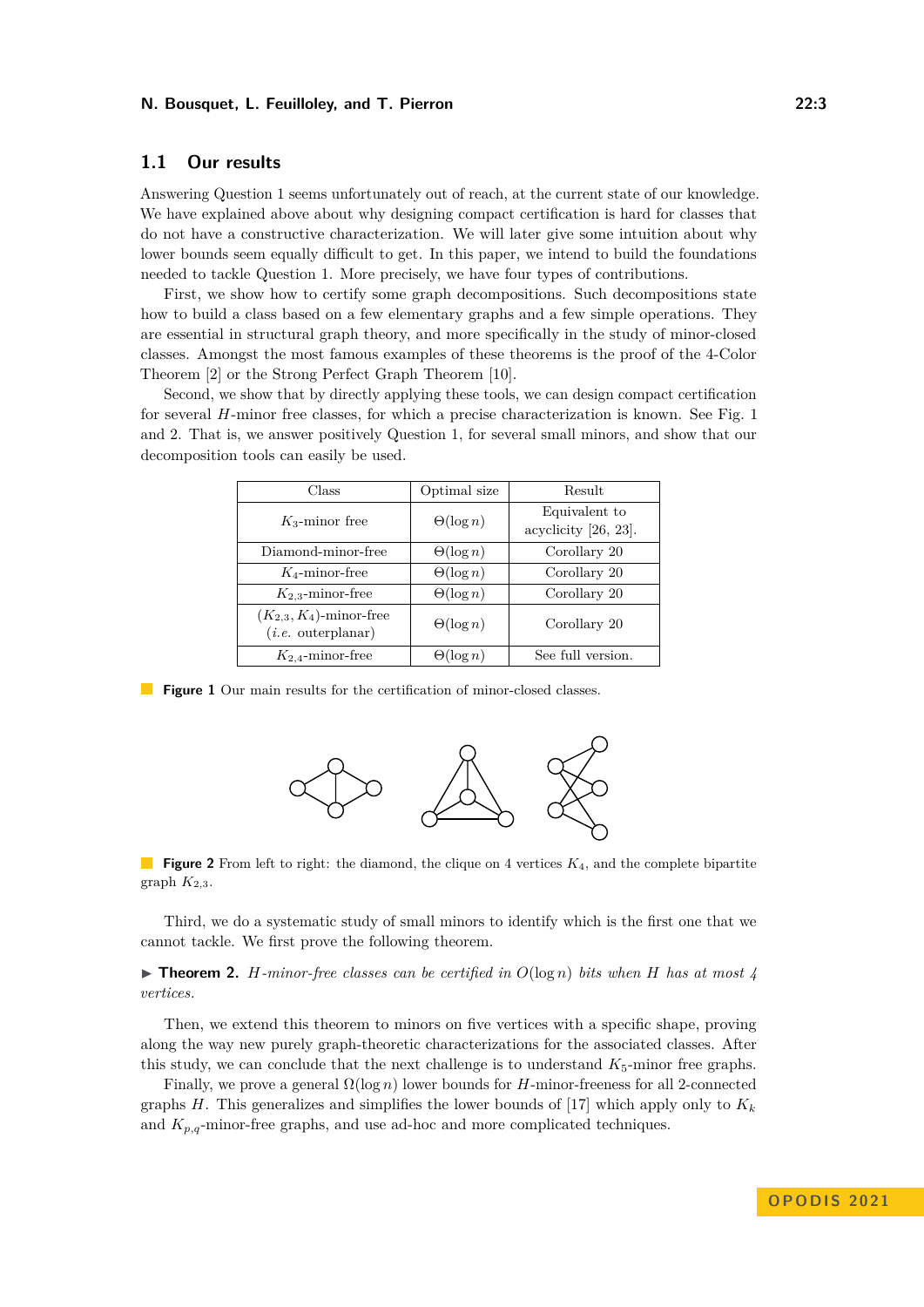# **1.1 Our results**

Answering Question [1](#page-1-0) seems unfortunately out of reach, at the current state of our knowledge. We have explained above about why designing compact certification is hard for classes that do not have a constructive characterization. We will later give some intuition about why lower bounds seem equally difficult to get. In this paper, we intend to build the foundations needed to tackle Question [1.](#page-1-0) More precisely, we have four types of contributions.

First, we show how to certify some graph decompositions. Such decompositions state how to build a class based on a few elementary graphs and a few simple operations. They are essential in structural graph theory, and more specifically in the study of minor-closed classes. Amongst the most famous examples of these theorems is the proof of the 4-Color Theorem [\[2\]](#page-15-6) or the Strong Perfect Graph Theorem [\[10\]](#page-15-7).

<span id="page-2-0"></span>Second, we show that by directly applying these tools, we can design compact certification for several *H*-minor free classes, for which a precise characterization is known. See Fig. [1](#page-2-0) and [2.](#page-2-1) That is, we answer positively Question [1,](#page-1-0) for several small minors, and show that our decomposition tools can easily be used.

| Class                                                | Optimal size     | Result                                   |
|------------------------------------------------------|------------------|------------------------------------------|
| $K_3$ -minor free                                    | $\Theta(\log n)$ | Equivalent to<br>acyclicity $[26, 23]$ . |
| Diamond-minor-free                                   | $\Theta(\log n)$ | Corollary 20                             |
| $K_4$ -minor-free                                    | $\Theta(\log n)$ | Corollary 20                             |
| $K_{2,3}$ -minor-free                                | $\Theta(\log n)$ | Corollary 20                             |
| $(K_{2,3}, K_4)$ -minor-free<br>$(i.e.$ outerplanar) | $\Theta(\log n)$ | Corollary 20                             |
| $K_{2,4}$ -minor-free                                | $\Theta(\log n)$ | See full version.                        |

<span id="page-2-1"></span>**Figure 1** Our main results for the certification of minor-closed classes.



**Figure 2** From left to right: the diamond, the clique on 4 vertices  $K_4$ , and the complete bipartite graph  $K_{2,3}$ .

Third, we do a systematic study of small minors to identify which is the first one that we cannot tackle. We first prove the following theorem.

 $\triangleright$  **Theorem 2.** *H-minor-free classes can be certified in*  $O(\log n)$  *bits when H has at most* 4 *vertices.*

Then, we extend this theorem to minors on five vertices with a specific shape, proving along the way new purely graph-theoretic characterizations for the associated classes. After this study, we can conclude that the next challenge is to understand  $K_5$ -minor free graphs.

Finally, we prove a general Ω(log *n*) lower bounds for *H*-minor-freeness for all 2-connected graphs *H*. This generalizes and simplifies the lower bounds of [\[17\]](#page-15-2) which apply only to  $K_k$ and  $K_{p,q}$ -minor-free graphs, and use ad-hoc and more complicated techniques.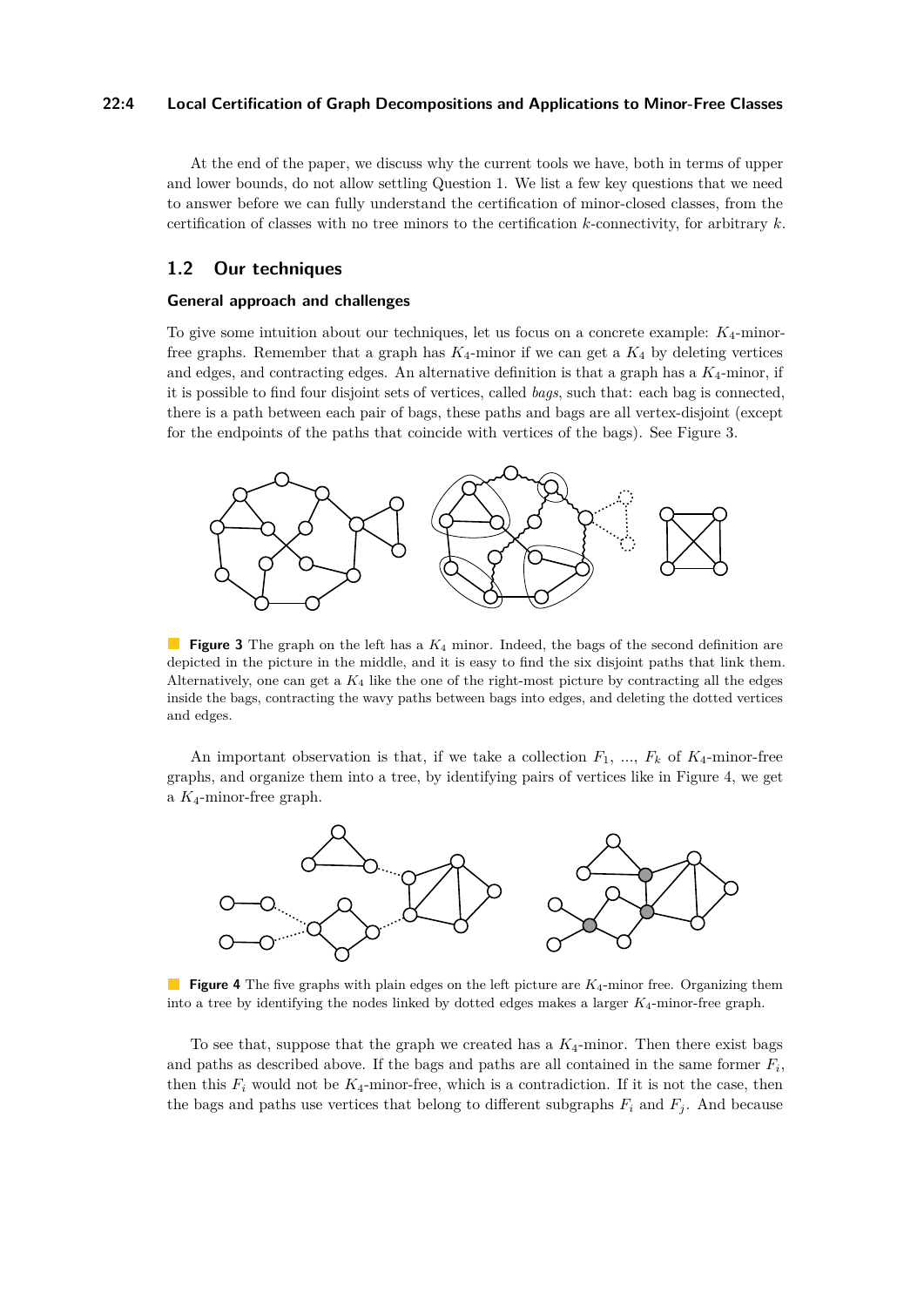## **22:4 Local Certification of Graph Decompositions and Applications to Minor-Free Classes**

At the end of the paper, we discuss why the current tools we have, both in terms of upper and lower bounds, do not allow settling Question [1.](#page-1-0) We list a few key questions that we need to answer before we can fully understand the certification of minor-closed classes, from the certification of classes with no tree minors to the certification *k*-connectivity, for arbitrary *k*.

# **1.2 Our techniques**

#### **General approach and challenges**

To give some intuition about our techniques, let us focus on a concrete example: *K*4-minorfree graphs. Remember that a graph has  $K_4$ -minor if we can get a  $K_4$  by deleting vertices and edges, and contracting edges. An alternative definition is that a graph has a *K*4-minor, if it is possible to find four disjoint sets of vertices, called *bags*, such that: each bag is connected, there is a path between each pair of bags, these paths and bags are all vertex-disjoint (except for the endpoints of the paths that coincide with vertices of the bags). See Figure [3.](#page-3-0)

<span id="page-3-0"></span>

**Figure 3** The graph on the left has a  $K_4$  minor. Indeed, the bags of the second definition are depicted in the picture in the middle, and it is easy to find the six disjoint paths that link them. Alternatively, one can get a  $K_4$  like the one of the right-most picture by contracting all the edges inside the bags, contracting the wavy paths between bags into edges, and deleting the dotted vertices and edges.

An important observation is that, if we take a collection  $F_1$ , ...,  $F_k$  of  $K_4$ -minor-free graphs, and organize them into a tree, by identifying pairs of vertices like in Figure [4,](#page-3-1) we get a *K*4-minor-free graph.

<span id="page-3-1"></span>

**Figure 4** The five graphs with plain edges on the left picture are  $K_4$ -minor free. Organizing them into a tree by identifying the nodes linked by dotted edges makes a larger *K*4-minor-free graph.

To see that, suppose that the graph we created has a  $K_4$ -minor. Then there exist bags and paths as described above. If the bags and paths are all contained in the same former  $F_i$ , then this  $F_i$  would not be  $K_4$ -minor-free, which is a contradiction. If it is not the case, then the bags and paths use vertices that belong to different subgraphs  $F_i$  and  $F_j$ . And because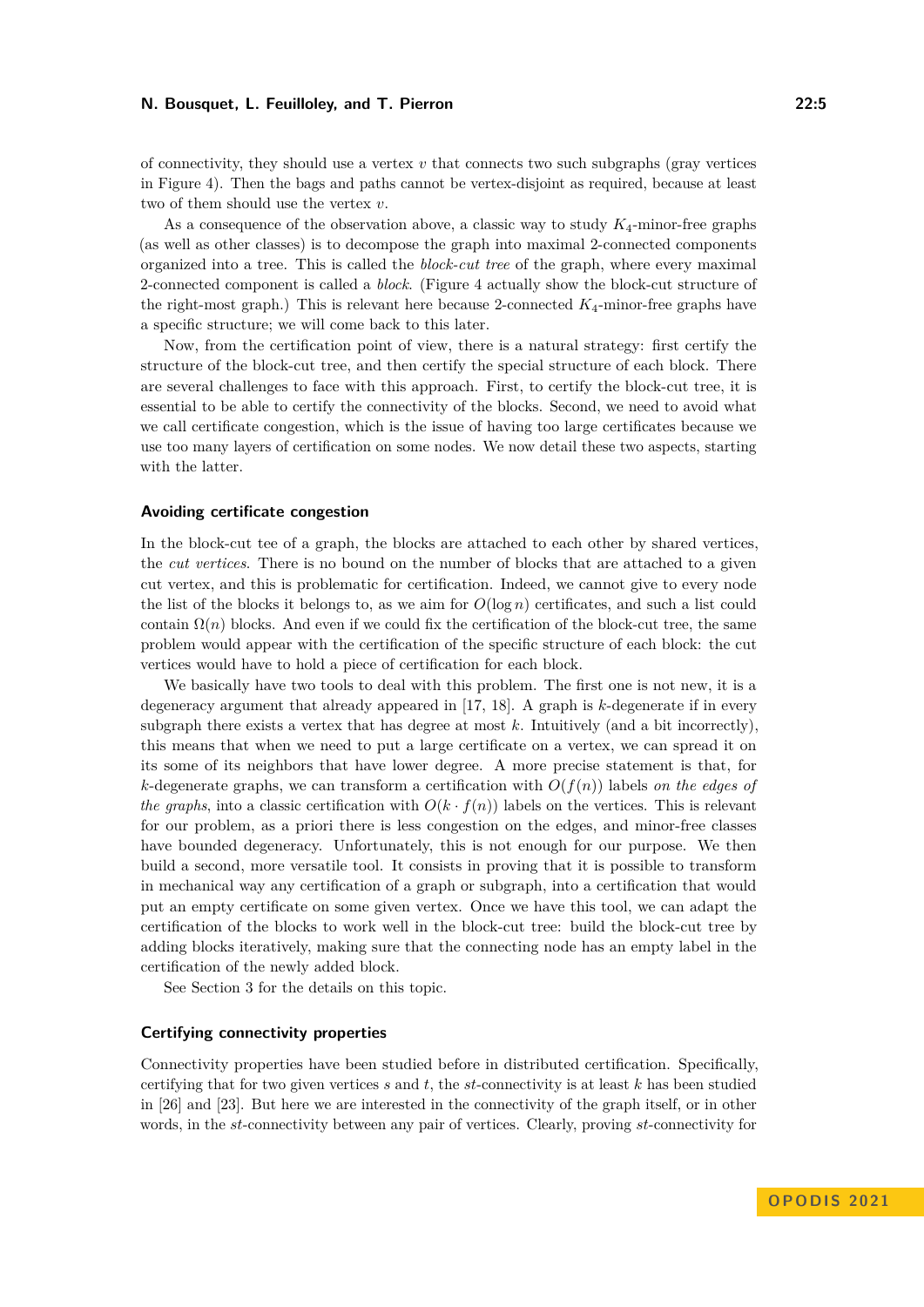of connectivity, they should use a vertex  $v$  that connects two such subgraphs (gray vertices in Figure [4\)](#page-3-1). Then the bags and paths cannot be vertex-disjoint as required, because at least two of them should use the vertex *v*.

As a consequence of the observation above, a classic way to study *K*4-minor-free graphs (as well as other classes) is to decompose the graph into maximal 2-connected components organized into a tree. This is called the *block-cut tree* of the graph, where every maximal 2-connected component is called a *block*. (Figure [4](#page-3-1) actually show the block-cut structure of the right-most graph.) This is relevant here because 2-connected *K*4-minor-free graphs have a specific structure; we will come back to this later.

Now, from the certification point of view, there is a natural strategy: first certify the structure of the block-cut tree, and then certify the special structure of each block. There are several challenges to face with this approach. First, to certify the block-cut tree, it is essential to be able to certify the connectivity of the blocks. Second, we need to avoid what we call certificate congestion, which is the issue of having too large certificates because we use too many layers of certification on some nodes. We now detail these two aspects, starting with the latter.

### **Avoiding certificate congestion**

In the block-cut tee of a graph, the blocks are attached to each other by shared vertices, the *cut vertices*. There is no bound on the number of blocks that are attached to a given cut vertex, and this is problematic for certification. Indeed, we cannot give to every node the list of the blocks it belongs to, as we aim for  $O(\log n)$  certificates, and such a list could contain  $\Omega(n)$  blocks. And even if we could fix the certification of the block-cut tree, the same problem would appear with the certification of the specific structure of each block: the cut vertices would have to hold a piece of certification for each block.

We basically have two tools to deal with this problem. The first one is not new, it is a degeneracy argument that already appeared in [\[17,](#page-15-2) [18\]](#page-15-3). A graph is *k*-degenerate if in every subgraph there exists a vertex that has degree at most  $k$ . Intuitively (and a bit incorrectly), this means that when we need to put a large certificate on a vertex, we can spread it on its some of its neighbors that have lower degree. A more precise statement is that, for *k*-degenerate graphs, we can transform a certification with  $O(f(n))$  labels *on the edges of the graphs*, into a classic certification with  $O(k \cdot f(n))$  labels on the vertices. This is relevant for our problem, as a priori there is less congestion on the edges, and minor-free classes have bounded degeneracy. Unfortunately, this is not enough for our purpose. We then build a second, more versatile tool. It consists in proving that it is possible to transform in mechanical way any certification of a graph or subgraph, into a certification that would put an empty certificate on some given vertex. Once we have this tool, we can adapt the certification of the blocks to work well in the block-cut tree: build the block-cut tree by adding blocks iteratively, making sure that the connecting node has an empty label in the certification of the newly added block.

See Section [3](#page-9-0) for the details on this topic.

#### **Certifying connectivity properties**

Connectivity properties have been studied before in distributed certification. Specifically, certifying that for two given vertices *s* and *t*, the *st*-connectivity is at least *k* has been studied in [\[26\]](#page-16-0) and [\[23\]](#page-16-1). But here we are interested in the connectivity of the graph itself, or in other words, in the *st*-connectivity between any pair of vertices. Clearly, proving *st*-connectivity for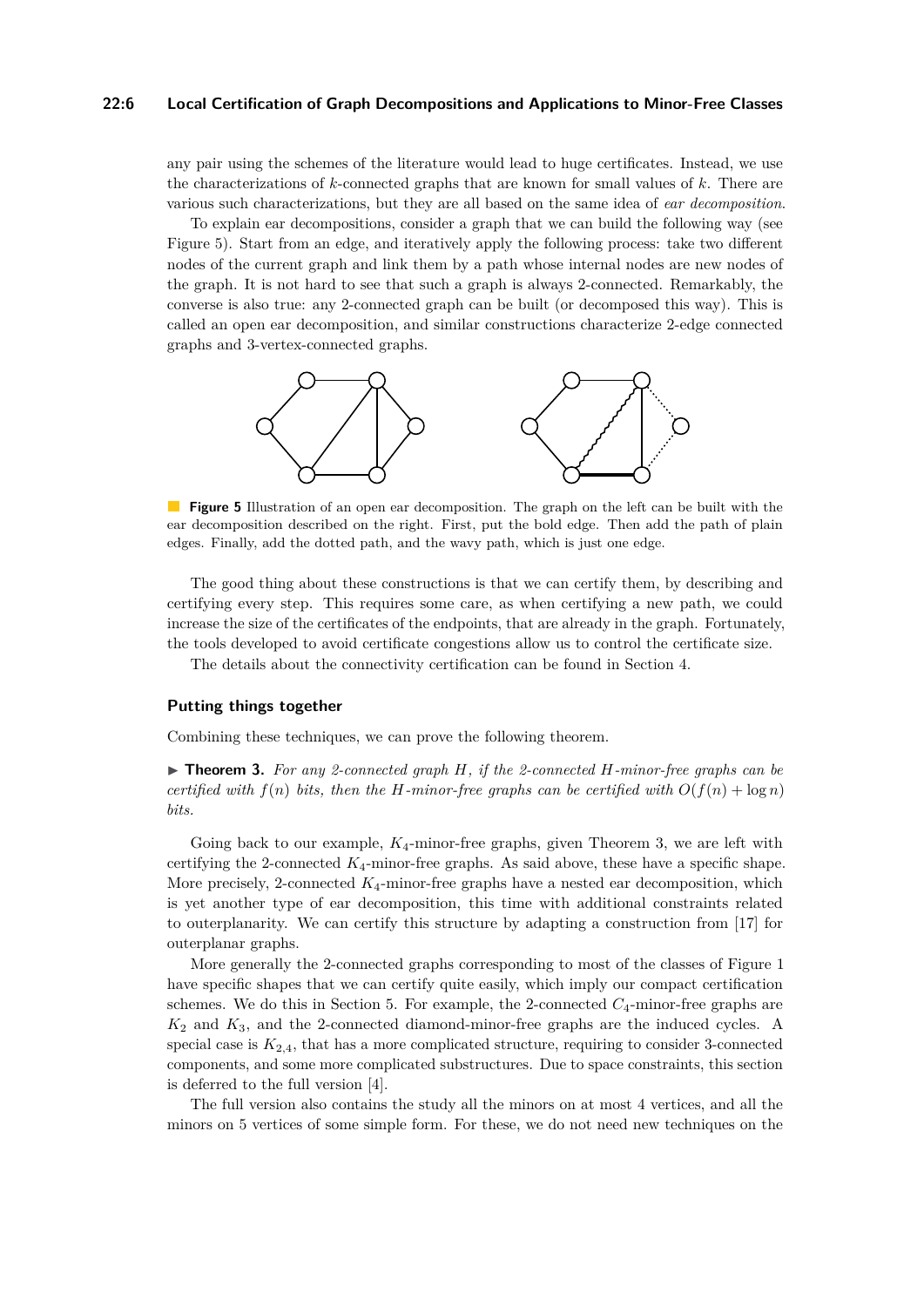## **22:6 Local Certification of Graph Decompositions and Applications to Minor-Free Classes**

any pair using the schemes of the literature would lead to huge certificates. Instead, we use the characterizations of *k*-connected graphs that are known for small values of *k*. There are various such characterizations, but they are all based on the same idea of *ear decomposition*.

To explain ear decompositions, consider a graph that we can build the following way (see Figure [5\)](#page-5-0). Start from an edge, and iteratively apply the following process: take two different nodes of the current graph and link them by a path whose internal nodes are new nodes of the graph. It is not hard to see that such a graph is always 2-connected. Remarkably, the converse is also true: any 2-connected graph can be built (or decomposed this way). This is called an open ear decomposition, and similar constructions characterize 2-edge connected graphs and 3-vertex-connected graphs.

<span id="page-5-0"></span>

**The Second Figure 5** Illustration of an open ear decomposition. The graph on the left can be built with the ear decomposition described on the right. First, put the bold edge. Then add the path of plain edges. Finally, add the dotted path, and the wavy path, which is just one edge.

The good thing about these constructions is that we can certify them, by describing and certifying every step. This requires some care, as when certifying a new path, we could increase the size of the certificates of the endpoints, that are already in the graph. Fortunately, the tools developed to avoid certificate congestions allow us to control the certificate size.

The details about the connectivity certification can be found in Section [4.](#page-10-0)

# **Putting things together**

Combining these techniques, we can prove the following theorem.

<span id="page-5-1"></span>▶ **Theorem 3.** *For any 2-connected graph H, if the 2-connected H-minor-free graphs can be certified with*  $f(n)$  *bits, then the H-minor-free graphs can be certified with*  $O(f(n) + \log n)$ *bits.*

Going back to our example, *K*4-minor-free graphs, given Theorem [3,](#page-5-1) we are left with certifying the 2-connected *K*4-minor-free graphs. As said above, these have a specific shape. More precisely, 2-connected *K*4-minor-free graphs have a nested ear decomposition, which is yet another type of ear decomposition, this time with additional constraints related to outerplanarity. We can certify this structure by adapting a construction from [\[17\]](#page-15-2) for outerplanar graphs.

More generally the 2-connected graphs corresponding to most of the classes of Figure [1](#page-2-0) have specific shapes that we can certify quite easily, which imply our compact certification schemes. We do this in Section [5.](#page-11-0) For example, the 2-connected *C*4-minor-free graphs are *K*<sup>2</sup> and *K*3, and the 2-connected diamond-minor-free graphs are the induced cycles. A special case is  $K_{2,4}$ , that has a more complicated structure, requiring to consider 3-connected components, and some more complicated substructures. Due to space constraints, this section is deferred to the full version [\[4\]](#page-15-0).

The full version also contains the study all the minors on at most 4 vertices, and all the minors on 5 vertices of some simple form. For these, we do not need new techniques on the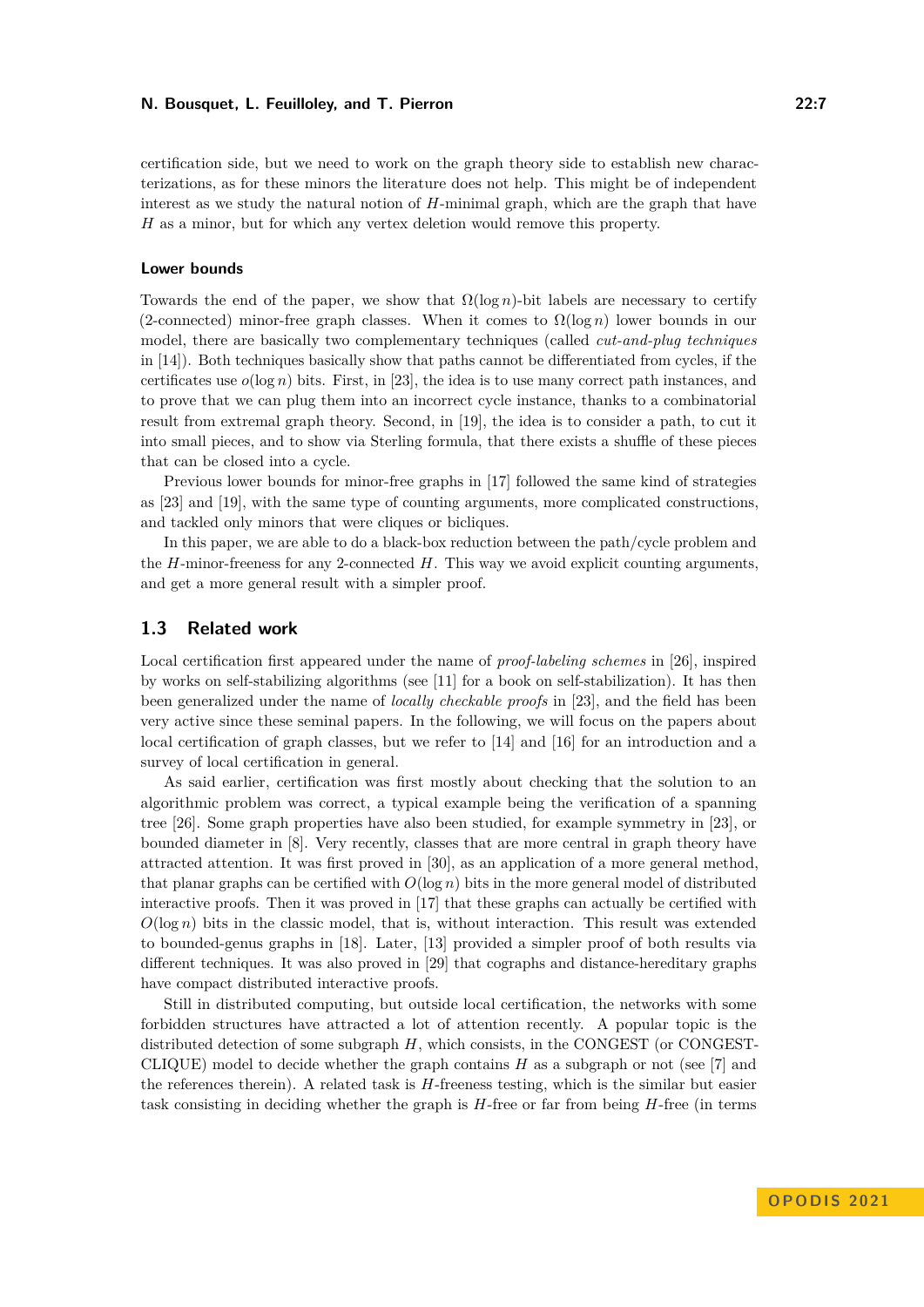certification side, but we need to work on the graph theory side to establish new characterizations, as for these minors the literature does not help. This might be of independent interest as we study the natural notion of *H*-minimal graph, which are the graph that have *H* as a minor, but for which any vertex deletion would remove this property.

#### **Lower bounds**

Towards the end of the paper, we show that  $\Omega(\log n)$ -bit labels are necessary to certify (2-connected) minor-free graph classes. When it comes to  $\Omega(\log n)$  lower bounds in our model, there are basically two complementary techniques (called *cut-and-plug techniques* in [\[14\]](#page-15-5)). Both techniques basically show that paths cannot be differentiated from cycles, if the certificates use  $o(\log n)$  bits. First, in [\[23\]](#page-16-1), the idea is to use many correct path instances, and to prove that we can plug them into an incorrect cycle instance, thanks to a combinatorial result from extremal graph theory. Second, in [\[19\]](#page-15-8), the idea is to consider a path, to cut it into small pieces, and to show via Sterling formula, that there exists a shuffle of these pieces that can be closed into a cycle.

Previous lower bounds for minor-free graphs in [\[17\]](#page-15-2) followed the same kind of strategies as [\[23\]](#page-16-1) and [\[19\]](#page-15-8), with the same type of counting arguments, more complicated constructions, and tackled only minors that were cliques or bicliques.

In this paper, we are able to do a black-box reduction between the path/cycle problem and the *H*-minor-freeness for any 2-connected *H*. This way we avoid explicit counting arguments, and get a more general result with a simpler proof.

# **1.3 Related work**

Local certification first appeared under the name of *proof-labeling schemes* in [\[26\]](#page-16-0), inspired by works on self-stabilizing algorithms (see [\[11\]](#page-15-9) for a book on self-stabilization). It has then been generalized under the name of *locally checkable proofs* in [\[23\]](#page-16-1), and the field has been very active since these seminal papers. In the following, we will focus on the papers about local certification of graph classes, but we refer to [\[14\]](#page-15-5) and [\[16\]](#page-15-10) for an introduction and a survey of local certification in general.

As said earlier, certification was first mostly about checking that the solution to an algorithmic problem was correct, a typical example being the verification of a spanning tree [\[26\]](#page-16-0). Some graph properties have also been studied, for example symmetry in [\[23\]](#page-16-1), or bounded diameter in [\[8\]](#page-15-1). Very recently, classes that are more central in graph theory have attracted attention. It was first proved in [\[30\]](#page-16-3), as an application of a more general method, that planar graphs can be certified with  $O(\log n)$  bits in the more general model of distributed interactive proofs. Then it was proved in [\[17\]](#page-15-2) that these graphs can actually be certified with  $O(\log n)$  bits in the classic model, that is, without interaction. This result was extended to bounded-genus graphs in [\[18\]](#page-15-3). Later, [\[13\]](#page-15-4) provided a simpler proof of both results via different techniques. It was also proved in [\[29\]](#page-16-4) that cographs and distance-hereditary graphs have compact distributed interactive proofs.

Still in distributed computing, but outside local certification, the networks with some forbidden structures have attracted a lot of attention recently. A popular topic is the distributed detection of some subgraph *H*, which consists, in the CONGEST (or CONGEST-CLIQUE) model to decide whether the graph contains *H* as a subgraph or not (see [\[7\]](#page-15-11) and the references therein). A related task is *H*-freeness testing, which is the similar but easier task consisting in deciding whether the graph is *H*-free or far from being *H*-free (in terms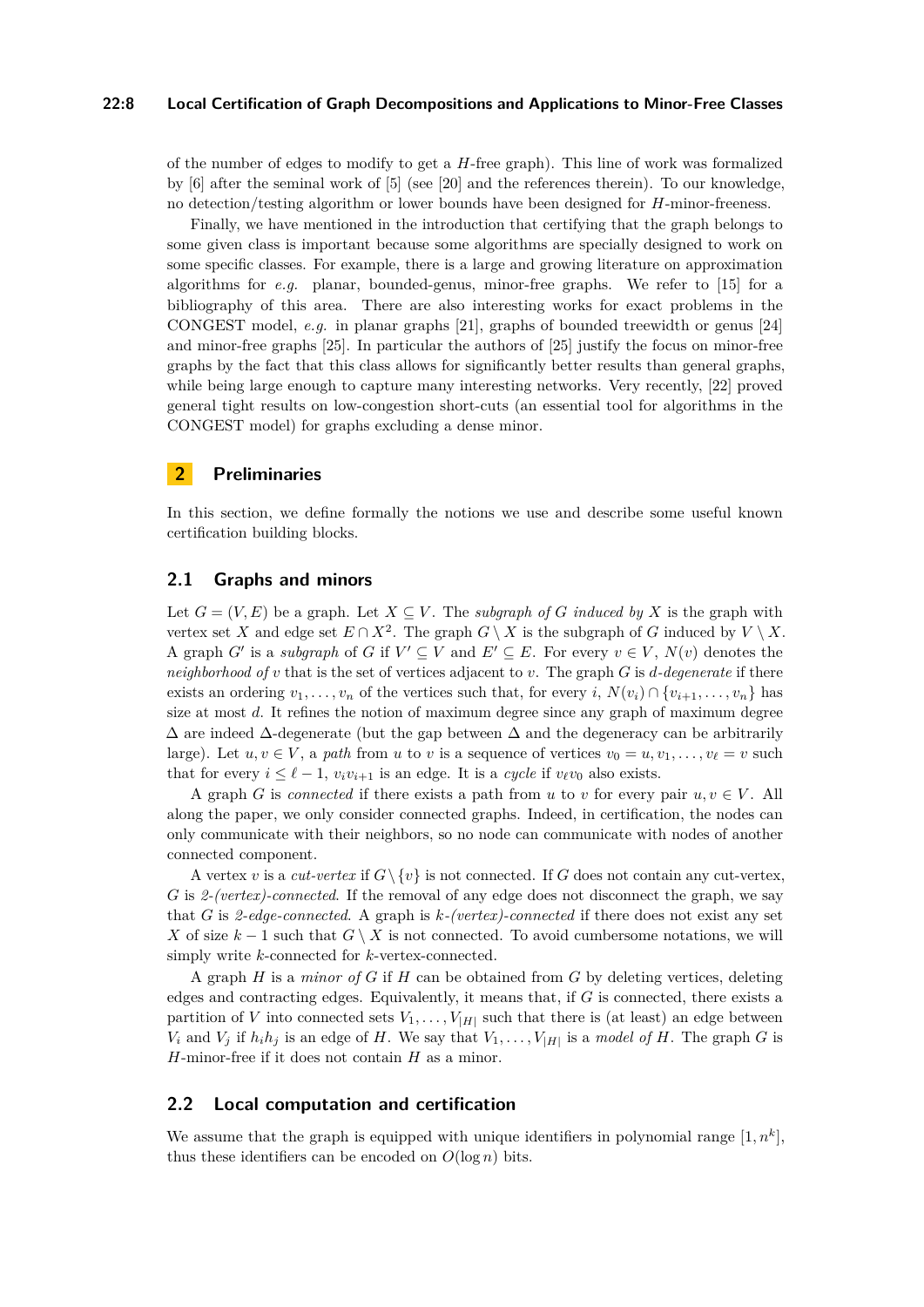## **22:8 Local Certification of Graph Decompositions and Applications to Minor-Free Classes**

of the number of edges to modify to get a *H*-free graph). This line of work was formalized by [\[6\]](#page-15-12) after the seminal work of [\[5\]](#page-15-13) (see [\[20\]](#page-16-5) and the references therein). To our knowledge, no detection/testing algorithm or lower bounds have been designed for *H*-minor-freeness.

Finally, we have mentioned in the introduction that certifying that the graph belongs to some given class is important because some algorithms are specially designed to work on some specific classes. For example, there is a large and growing literature on approximation algorithms for  $e,q$ , planar, bounded-genus, minor-free graphs. We refer to  $[15]$  for a bibliography of this area. There are also interesting works for exact problems in the CONGEST model, *e.g.* in planar graphs [\[21\]](#page-16-6), graphs of bounded treewidth or genus [\[24\]](#page-16-7) and minor-free graphs [\[25\]](#page-16-8). In particular the authors of [\[25\]](#page-16-8) justify the focus on minor-free graphs by the fact that this class allows for significantly better results than general graphs, while being large enough to capture many interesting networks. Very recently, [\[22\]](#page-16-9) proved general tight results on low-congestion short-cuts (an essential tool for algorithms in the CONGEST model) for graphs excluding a dense minor.

# **2 Preliminaries**

In this section, we define formally the notions we use and describe some useful known certification building blocks.

# **2.1 Graphs and minors**

Let  $G = (V, E)$  be a graph. Let  $X \subseteq V$ . The *subgraph of G induced by* X is the graph with vertex set *X* and edge set  $E \cap X^2$ . The graph  $G \setminus X$  is the subgraph of *G* induced by  $V \setminus X$ . A graph *G*' is a *subgraph* of *G* if  $V' \subseteq V$  and  $E' \subseteq E$ . For every  $v \in V$ ,  $N(v)$  denotes the *neighborhood of v* that is the set of vertices adjacent to *v*. The graph *G* is *d-degenerate* if there exists an ordering  $v_1, \ldots, v_n$  of the vertices such that, for every *i*,  $N(v_i) \cap \{v_{i+1}, \ldots, v_n\}$  has size at most *d*. It refines the notion of maximum degree since any graph of maximum degree  $\Delta$  are indeed  $\Delta$ -degenerate (but the gap between  $\Delta$  and the degeneracy can be arbitrarily large). Let  $u, v \in V$ , a *path* from *u* to *v* is a sequence of vertices  $v_0 = u, v_1, \ldots, v_\ell = v$  such that for every  $i \leq \ell - 1$ ,  $v_i v_{i+1}$  is an edge. It is a *cycle* if  $v_\ell v_0$  also exists.

A graph *G* is *connected* if there exists a path from *u* to *v* for every pair  $u, v \in V$ . All along the paper, we only consider connected graphs. Indeed, in certification, the nodes can only communicate with their neighbors, so no node can communicate with nodes of another connected component.

A vertex *v* is a *cut-vertex* if  $G \setminus \{v\}$  is not connected. If *G* does not contain any cut-vertex, *G* is *2-(vertex)-connected*. If the removal of any edge does not disconnect the graph, we say that *G* is *2-edge-connected*. A graph is *k-(vertex)-connected* if there does not exist any set *X* of size  $k-1$  such that  $G \setminus X$  is not connected. To avoid cumbersome notations, we will simply write *k*-connected for *k*-vertex-connected.

A graph *H* is a *minor of G* if *H* can be obtained from *G* by deleting vertices, deleting edges and contracting edges. Equivalently, it means that, if *G* is connected, there exists a partition of *V* into connected sets  $V_1, \ldots, V_{|H|}$  such that there is (at least) an edge between *V*<sub>i</sub> and *V*<sub>*j*</sub> if  $h_i h_j$  is an edge of *H*. We say that  $V_1, \ldots, V_{|H|}$  is a *model of H*. The graph *G* is *H*-minor-free if it does not contain *H* as a minor.

# **2.2 Local computation and certification**

We assume that the graph is equipped with unique identifiers in polynomial range  $[1, n<sup>k</sup>]$ , thus these identifiers can be encoded on  $O(\log n)$  bits.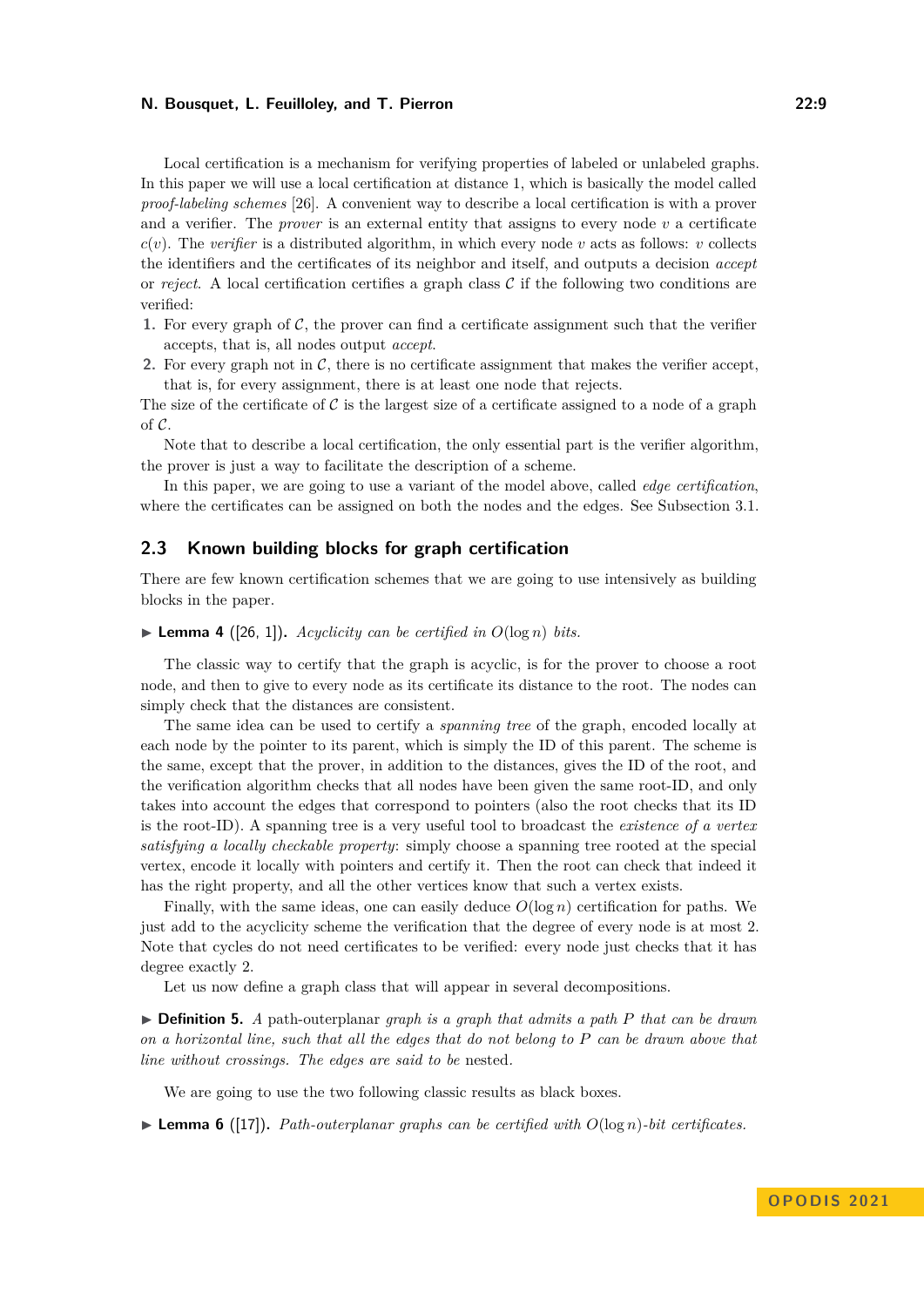Local certification is a mechanism for verifying properties of labeled or unlabeled graphs. In this paper we will use a local certification at distance 1, which is basically the model called *proof-labeling schemes* [\[26\]](#page-16-0). A convenient way to describe a local certification is with a prover and a verifier. The *prover* is an external entity that assigns to every node  $v$  a certificate  $c(v)$ . The *verifier* is a distributed algorithm, in which every node *v* acts as follows: *v* collects the identifiers and the certificates of its neighbor and itself, and outputs a decision *accept* or *reject*. A local certification certifies a graph class  $\mathcal C$  if the following two conditions are verified:

- **1.** For every graph of  $\mathcal{C}$ , the prover can find a certificate assignment such that the verifier accepts, that is, all nodes output *accept*.
- **2.** For every graph not in  $\mathcal{C}$ , there is no certificate assignment that makes the verifier accept, that is, for every assignment, there is at least one node that rejects.

The size of the certificate of C is the largest size of a certificate assigned to a node of a graph of C.

Note that to describe a local certification, the only essential part is the verifier algorithm, the prover is just a way to facilitate the description of a scheme.

In this paper, we are going to use a variant of the model above, called *edge certification*, where the certificates can be assigned on both the nodes and the edges. See Subsection [3.1.](#page-9-1)

# <span id="page-8-1"></span>**2.3 Known building blocks for graph certification**

There are few known certification schemes that we are going to use intensively as building blocks in the paper.

## <span id="page-8-0"></span> $\blacktriangleright$  **Lemma 4** ([\[26,](#page-16-0) [1\]](#page-15-15)). *Acyclicity can be certified in O*(log *n*) *bits.*

The classic way to certify that the graph is acyclic, is for the prover to choose a root node, and then to give to every node as its certificate its distance to the root. The nodes can simply check that the distances are consistent.

The same idea can be used to certify a *spanning tree* of the graph, encoded locally at each node by the pointer to its parent, which is simply the ID of this parent. The scheme is the same, except that the prover, in addition to the distances, gives the ID of the root, and the verification algorithm checks that all nodes have been given the same root-ID, and only takes into account the edges that correspond to pointers (also the root checks that its ID is the root-ID). A spanning tree is a very useful tool to broadcast the *existence of a vertex satisfying a locally checkable property*: simply choose a spanning tree rooted at the special vertex, encode it locally with pointers and certify it. Then the root can check that indeed it has the right property, and all the other vertices know that such a vertex exists.

Finally, with the same ideas, one can easily deduce  $O(\log n)$  certification for paths. We just add to the acyclicity scheme the verification that the degree of every node is at most 2. Note that cycles do not need certificates to be verified: every node just checks that it has degree exactly 2.

Let us now define a graph class that will appear in several decompositions.

▶ **Definition 5.** *A* path-outerplanar *graph is a graph that admits a path P that can be drawn on a horizontal line, such that all the edges that do not belong to P can be drawn above that line without crossings. The edges are said to be* nested*.*

We are going to use the two following classic results as black boxes.

 $\blacktriangleright$  **Lemma 6** ([\[17\]](#page-15-2)). Path-outerplanar graphs can be certified with  $O(\log n)$ -bit certificates.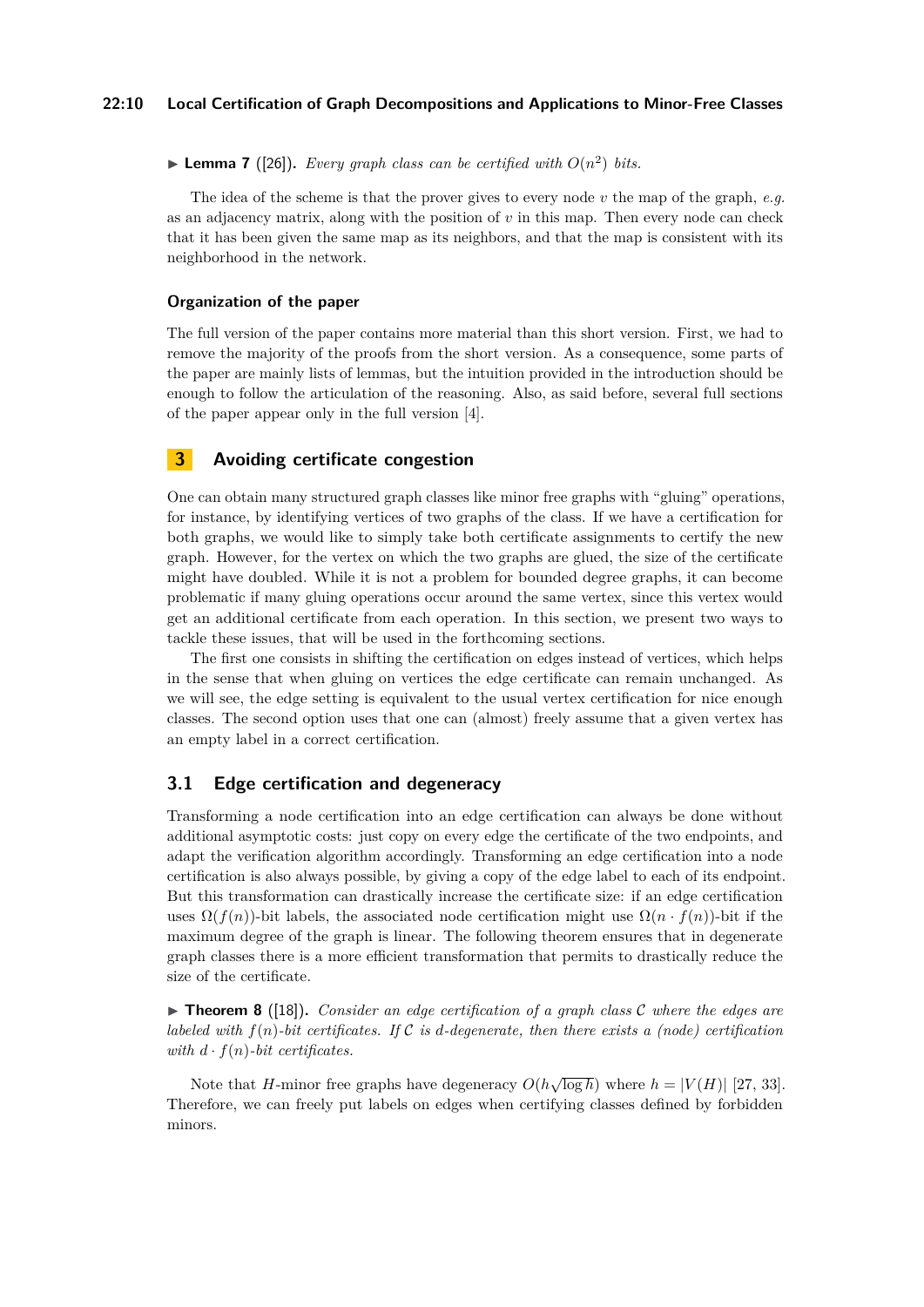**• Lemma 7** ([\[26\]](#page-16-0)). *Every graph class can be certified with*  $O(n^2)$  *bits.* 

The idea of the scheme is that the prover gives to every node *v* the map of the graph, *e.g.* as an adjacency matrix, along with the position of  $v$  in this map. Then every node can check that it has been given the same map as its neighbors, and that the map is consistent with its neighborhood in the network.

## **Organization of the paper**

The full version of the paper contains more material than this short version. First, we had to remove the majority of the proofs from the short version. As a consequence, some parts of the paper are mainly lists of lemmas, but the intuition provided in the introduction should be enough to follow the articulation of the reasoning. Also, as said before, several full sections of the paper appear only in the full version [\[4\]](#page-15-0).

# <span id="page-9-0"></span>**3 Avoiding certificate congestion**

One can obtain many structured graph classes like minor free graphs with "gluing" operations, for instance, by identifying vertices of two graphs of the class. If we have a certification for both graphs, we would like to simply take both certificate assignments to certify the new graph. However, for the vertex on which the two graphs are glued, the size of the certificate might have doubled. While it is not a problem for bounded degree graphs, it can become problematic if many gluing operations occur around the same vertex, since this vertex would get an additional certificate from each operation. In this section, we present two ways to tackle these issues, that will be used in the forthcoming sections.

The first one consists in shifting the certification on edges instead of vertices, which helps in the sense that when gluing on vertices the edge certificate can remain unchanged. As we will see, the edge setting is equivalent to the usual vertex certification for nice enough classes. The second option uses that one can (almost) freely assume that a given vertex has an empty label in a correct certification.

# <span id="page-9-1"></span>**3.1 Edge certification and degeneracy**

Transforming a node certification into an edge certification can always be done without additional asymptotic costs: just copy on every edge the certificate of the two endpoints, and adapt the verification algorithm accordingly. Transforming an edge certification into a node certification is also always possible, by giving a copy of the edge label to each of its endpoint. But this transformation can drastically increase the certificate size: if an edge certification uses  $\Omega(f(n))$ -bit labels, the associated node certification might use  $\Omega(n \cdot f(n))$ -bit if the maximum degree of the graph is linear. The following theorem ensures that in degenerate graph classes there is a more efficient transformation that permits to drastically reduce the size of the certificate.

▶ **Theorem 8** ([\[18\]](#page-15-3))**.** *Consider an edge certification of a graph class* C *where the edges are labeled with*  $f(n)$ *-bit certificates.* If C *is d*-degenerate, then there exists a (node) certification *with*  $d \cdot f(n)$ -bit certificates.

Note that *H*-minor free graphs have degeneracy  $O(h\sqrt{\log h})$  where  $h = |V(H)|$  [\[27,](#page-16-10) [33\]](#page-16-11). Therefore, we can freely put labels on edges when certifying classes defined by forbidden minors.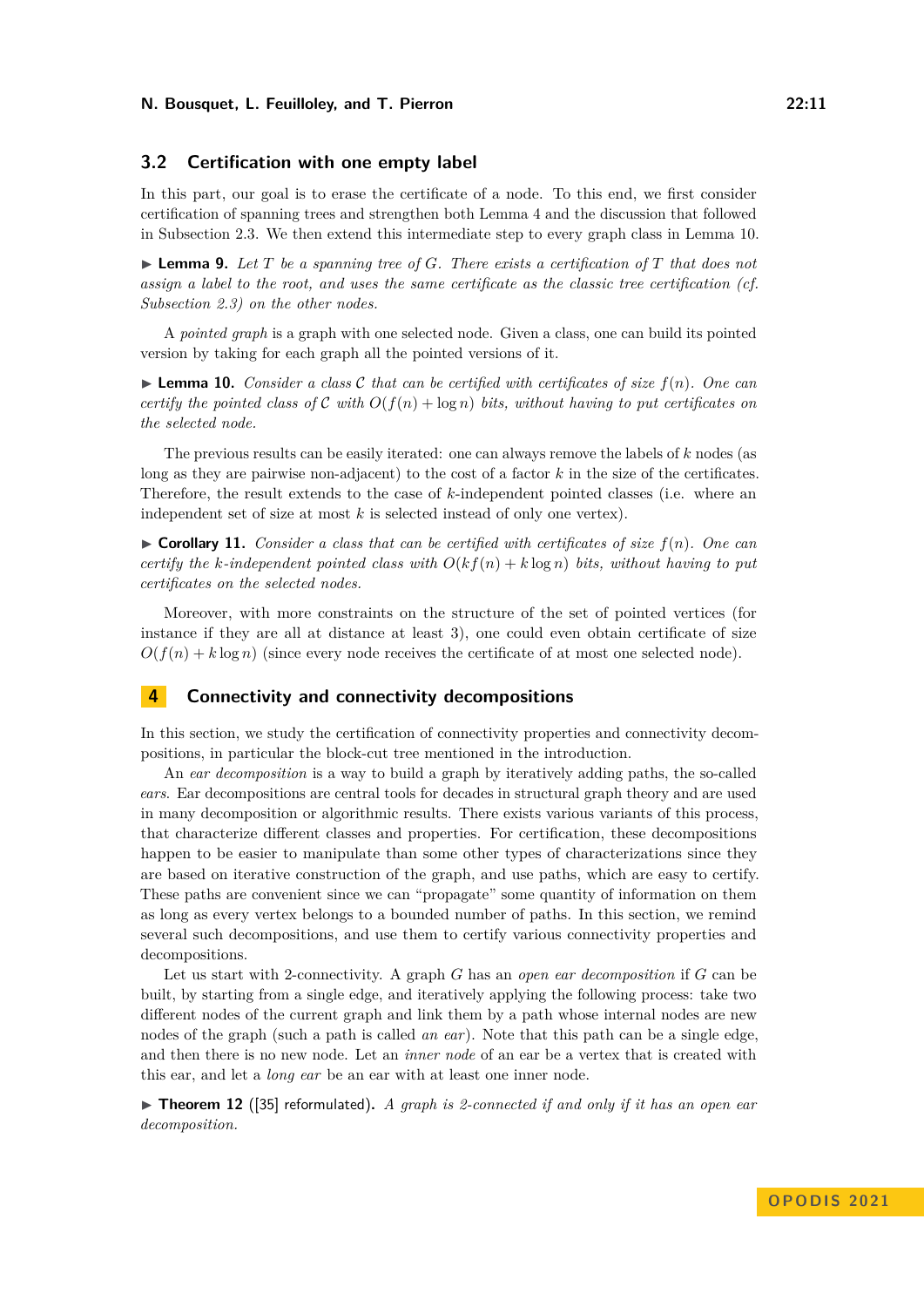# **3.2 Certification with one empty label**

In this part, our goal is to erase the certificate of a node. To this end, we first consider certification of spanning trees and strengthen both Lemma [4](#page-8-0) and the discussion that followed in Subsection [2.3.](#page-8-1) We then extend this intermediate step to every graph class in Lemma [10.](#page-10-1)

 $\blacktriangleright$  **Lemma 9.** Let *T* be a spanning tree of *G*. There exists a certification of *T* that does not *assign a label to the root, and uses the same certificate as the classic tree certification (cf. Subsection [2.3\)](#page-8-1) on the other nodes.*

A *pointed graph* is a graph with one selected node. Given a class, one can build its pointed version by taking for each graph all the pointed versions of it.

<span id="page-10-1"></span> $\blacktriangleright$  **Lemma 10.** *Consider a class C that can be certified with certificates of size*  $f(n)$ *. One can certify the pointed class of* C *with*  $O(f(n) + \log n)$  *bits, without having to put certificates on the selected node.*

The previous results can be easily iterated: one can always remove the labels of *k* nodes (as long as they are pairwise non-adjacent) to the cost of a factor *k* in the size of the certificates. Therefore, the result extends to the case of *k*-independent pointed classes (i.e. where an independent set of size at most *k* is selected instead of only one vertex).

 $\triangleright$  **Corollary 11.** *Consider a class that can be certified with certificates of size*  $f(n)$ *. One can certify the k*-independent pointed class with  $O(kf(n) + k \log n)$  bits, without having to put *certificates on the selected nodes.*

Moreover, with more constraints on the structure of the set of pointed vertices (for instance if they are all at distance at least 3), one could even obtain certificate of size  $O(f(n) + k \log n)$  (since every node receives the certificate of at most one selected node).

# <span id="page-10-0"></span>**4 Connectivity and connectivity decompositions**

In this section, we study the certification of connectivity properties and connectivity decompositions, in particular the block-cut tree mentioned in the introduction.

An *ear decomposition* is a way to build a graph by iteratively adding paths, the so-called *ears*. Ear decompositions are central tools for decades in structural graph theory and are used in many decomposition or algorithmic results. There exists various variants of this process, that characterize different classes and properties. For certification, these decompositions happen to be easier to manipulate than some other types of characterizations since they are based on iterative construction of the graph, and use paths, which are easy to certify. These paths are convenient since we can "propagate" some quantity of information on them as long as every vertex belongs to a bounded number of paths. In this section, we remind several such decompositions, and use them to certify various connectivity properties and decompositions.

Let us start with 2-connectivity. A graph *G* has an *open ear decomposition* if *G* can be built, by starting from a single edge, and iteratively applying the following process: take two different nodes of the current graph and link them by a path whose internal nodes are new nodes of the graph (such a path is called *an ear*). Note that this path can be a single edge, and then there is no new node. Let an *inner node* of an ear be a vertex that is created with this ear, and let a *long ear* be an ear with at least one inner node.

▶ **Theorem 12** ([\[35\]](#page-16-12) reformulated). A graph is 2-connected if and only if it has an open ear *decomposition.*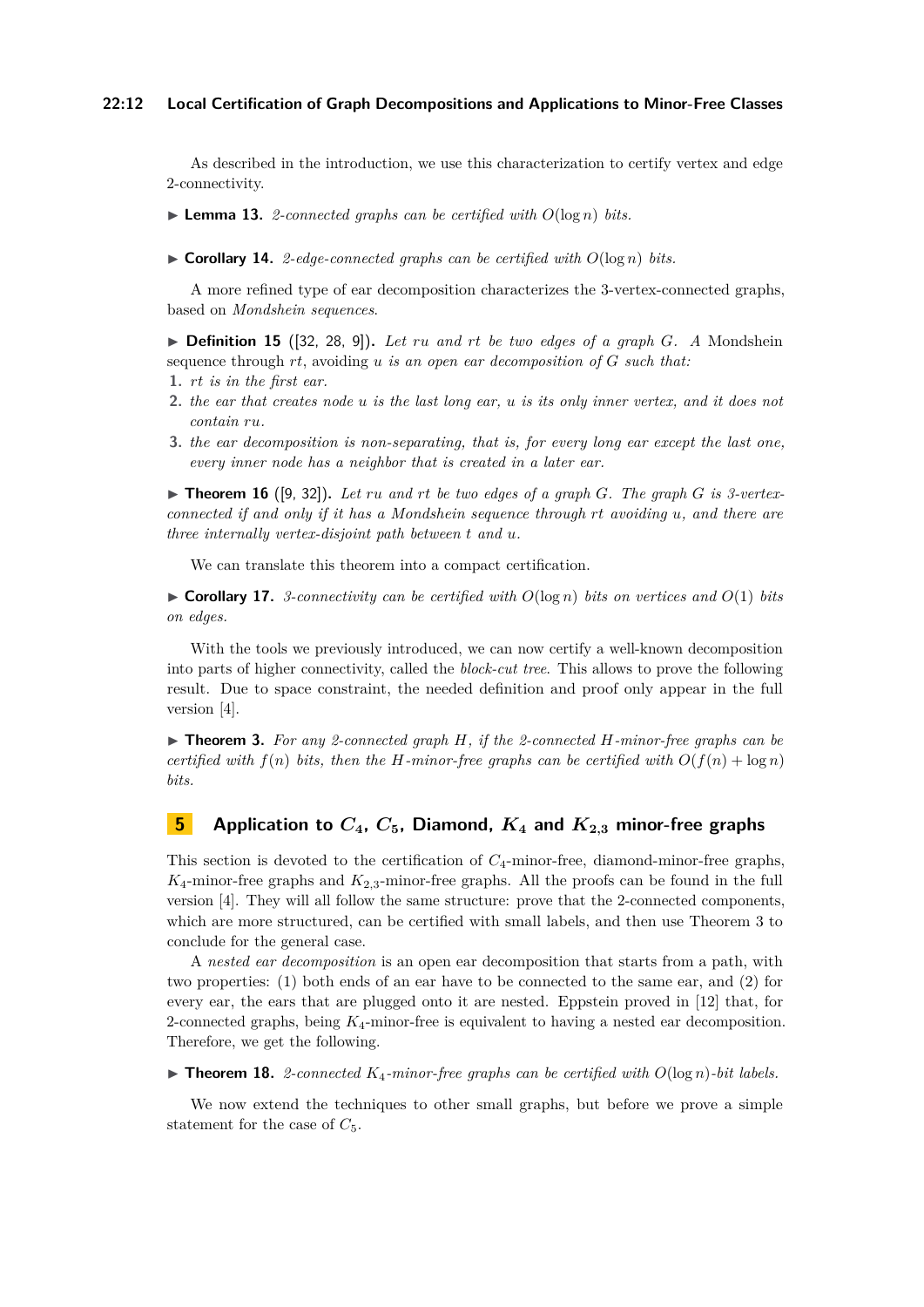## **22:12 Local Certification of Graph Decompositions and Applications to Minor-Free Classes**

As described in the introduction, we use this characterization to certify vertex and edge 2-connectivity.

- $\blacktriangleright$  **Lemma 13.** *2*-connected graphs can be certified with  $O(\log n)$  bits.
- $\triangleright$  **Corollary 14.** *2-edge-connected graphs can be certified with*  $O(\log n)$  *bits.*

A more refined type of ear decomposition characterizes the 3-vertex-connected graphs, based on *Mondshein sequences*.

 $\triangleright$  **Definition 15** ([\[32,](#page-16-13) [28,](#page-16-14) [9\]](#page-15-16)). Let ru and rt be two edges of a graph G. A Mondshein sequence through *rt*, avoiding *u is an open ear decomposition of G such that:*

- **1.** *rt is in the first ear.*
- **2.** *the ear that creates node u is the last long ear, u is its only inner vertex, and it does not contain ru.*
- **3.** *the ear decomposition is non-separating, that is, for every long ear except the last one, every inner node has a neighbor that is created in a later ear.*

 $\triangleright$  **Theorem 16** ([\[9,](#page-15-16) [32\]](#page-16-13)). Let ru and rt be two edges of a graph *G*. The graph *G* is 3-vertex*connected if and only if it has a Mondshein sequence through rt avoiding u, and there are three internally vertex-disjoint path between t and u.*

We can translate this theorem into a compact certification.

 $\triangleright$  **Corollary 17.** *3-connectivity can be certified with*  $O(\log n)$  *bits on vertices and*  $O(1)$  *bits on edges.*

With the tools we previously introduced, we can now certify a well-known decomposition into parts of higher connectivity, called the *block-cut tree*. This allows to prove the following result. Due to space constraint, the needed definition and proof only appear in the full version [\[4\]](#page-15-0).

▶ **Theorem 3.** *For any 2-connected graph H, if the 2-connected H-minor-free graphs can be certified with*  $f(n)$  *bits, then the H-minor-free graphs can be certified with*  $O(f(n) + \log n)$ *bits.*

# <span id="page-11-0"></span>**5 Application to** *C***4,** *C***5, Diamond,** *K***<sup>4</sup> and** *K***<sup>2</sup>***,***<sup>3</sup> minor-free graphs**

This section is devoted to the certification of *C*4-minor-free, diamond-minor-free graphs,  $K_4$ -minor-free graphs and  $K_{2,3}$ -minor-free graphs. All the proofs can be found in the full version [\[4\]](#page-15-0). They will all follow the same structure: prove that the 2-connected components, which are more structured, can be certified with small labels, and then use Theorem [3](#page-5-1) to conclude for the general case.

A *nested ear decomposition* is an open ear decomposition that starts from a path, with two properties: (1) both ends of an ear have to be connected to the same ear, and (2) for every ear, the ears that are plugged onto it are nested. Eppstein proved in [\[12\]](#page-15-17) that, for 2-connected graphs, being *K*4-minor-free is equivalent to having a nested ear decomposition. Therefore, we get the following.

 $\blacktriangleright$  **Theorem 18.** 2-connected  $K_4$ -minor-free graphs can be certified with  $O(\log n)$ -bit labels.

We now extend the techniques to other small graphs, but before we prove a simple statement for the case of  $C_5$ .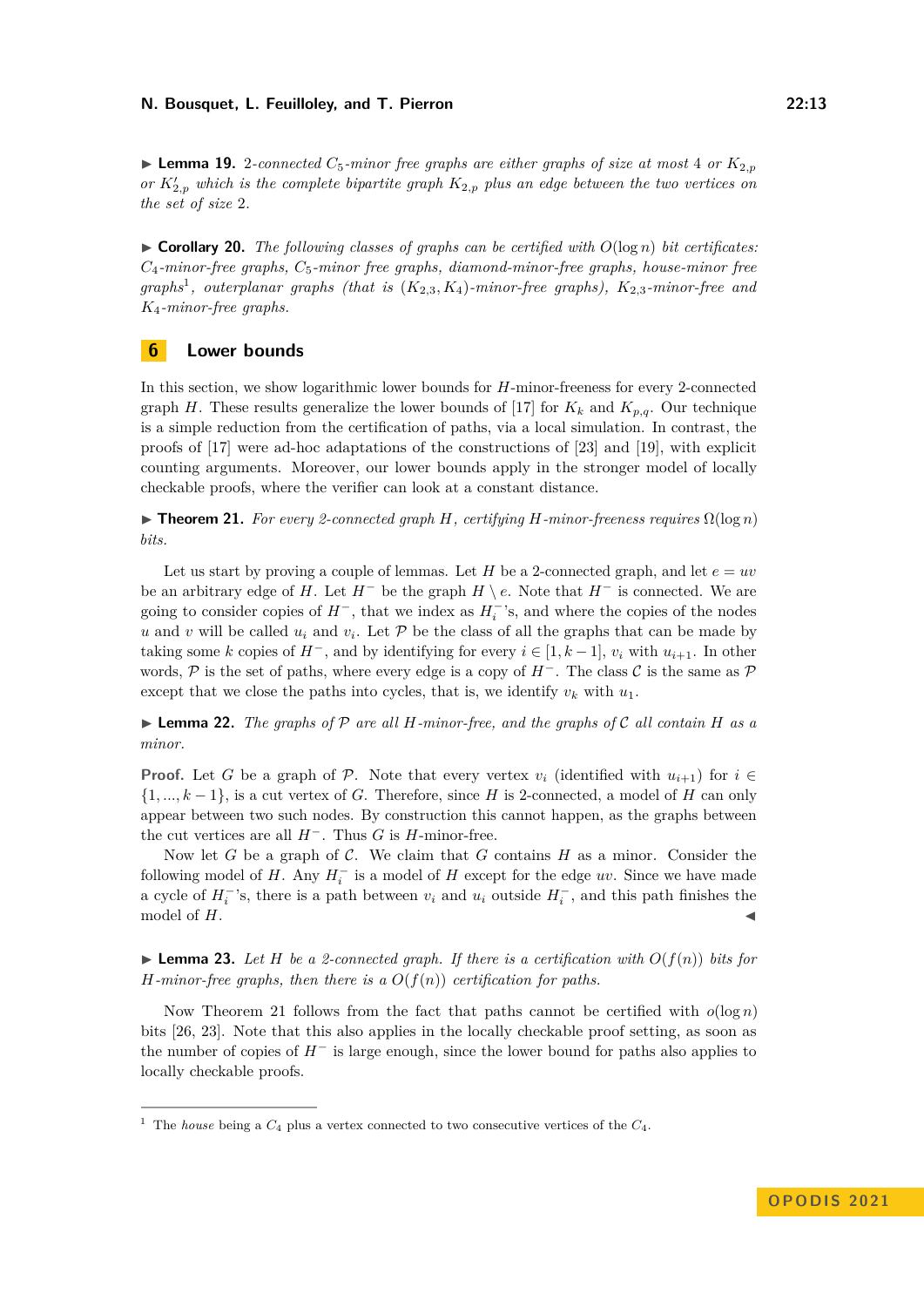**Example 19.** 2-connected  $C_5$ -minor free graphs are either graphs of size at most 4 or  $K_{2,p}$ *or*  $K'_{2,p}$  *which is the complete bipartite graph*  $K_{2,p}$  *plus an edge between the two vertices on the set of size* 2*.*

<span id="page-12-0"></span> $\triangleright$  **Corollary 20.** *The following classes of graphs can be certified with*  $O(\log n)$  *bit certificates: C*4*-minor-free graphs, C*5*-minor free graphs, diamond-minor-free graphs, house-minor free graphs*[1](#page-12-1) *, outerplanar graphs (that is* (*K*2*,*3*, K*4)*-minor-free graphs), K*2*,*3*-minor-free and K*4*-minor-free graphs.*

# **6 Lower bounds**

In this section, we show logarithmic lower bounds for *H*-minor-freeness for every 2-connected graph *H*. These results generalize the lower bounds of [\[17\]](#page-15-2) for  $K_k$  and  $K_{p,q}$ . Our technique is a simple reduction from the certification of paths, via a local simulation. In contrast, the proofs of [\[17\]](#page-15-2) were ad-hoc adaptations of the constructions of [\[23\]](#page-16-1) and [\[19\]](#page-15-8), with explicit counting arguments. Moreover, our lower bounds apply in the stronger model of locally checkable proofs, where the verifier can look at a constant distance.

<span id="page-12-2"></span>▶ **Theorem 21.** *For every 2-connected graph H, certifying H-minor-freeness requires* Ω(log *n*) *bits.*

Let us start by proving a couple of lemmas. Let *H* be a 2-connected graph, and let  $e = uv$ be an arbitrary edge of *H*. Let  $H^-$  be the graph  $H \setminus e$ . Note that  $H^-$  is connected. We are going to consider copies of  $H^-$ , that we index as  $H_i^-$ 's, and where the copies of the nodes *u* and *v* will be called  $u_i$  and  $v_i$ . Let  $P$  be the class of all the graphs that can be made by taking some *k* copies of  $H^-$ , and by identifying for every  $i \in [1, k-1]$ ,  $v_i$  with  $u_{i+1}$ . In other words, P is the set of paths, where every edge is a copy of  $H^-$ . The class C is the same as P except that we close the paths into cycles, that is, we identify  $v_k$  with  $u_1$ .

 $\blacktriangleright$  **Lemma 22.** The graphs of  $\mathcal{P}$  are all H-minor-free, and the graphs of  $\mathcal{C}$  all contain H as a *minor.*

**Proof.** Let *G* be a graph of P. Note that every vertex  $v_i$  (identified with  $u_{i+1}$ ) for  $i \in$ {1*, ..., k* − 1}, is a cut vertex of *G*. Therefore, since *H* is 2-connected, a model of *H* can only appear between two such nodes. By construction this cannot happen, as the graphs between the cut vertices are all  $H^-$ . Thus *G* is *H*-minor-free.

Now let *G* be a graph of C. We claim that *G* contains *H* as a minor. Consider the following model of  $H$ . Any  $H_i^-$  is a model of  $H$  except for the edge  $uv$ . Since we have made a cycle of  $H_i^{-}$ 's, there is a path between  $v_i$  and  $u_i$  outside  $H_i^{-}$ , and this path finishes the model of  $H$ .

 $\blacktriangleright$  **Lemma 23.** Let *H* be a 2-connected graph. If there is a certification with  $O(f(n))$  bits for *H-minor-free graphs, then there is a*  $O(f(n))$  *certification for paths.* 

Now Theorem [21](#page-12-2) follows from the fact that paths cannot be certified with  $o(\log n)$ bits [\[26,](#page-16-0) [23\]](#page-16-1). Note that this also applies in the locally checkable proof setting, as soon as the number of copies of *H*<sup>−</sup> is large enough, since the lower bound for paths also applies to locally checkable proofs.

<span id="page-12-1"></span><sup>&</sup>lt;sup>1</sup> The *house* being a  $C_4$  plus a vertex connected to two consecutive vertices of the  $C_4$ .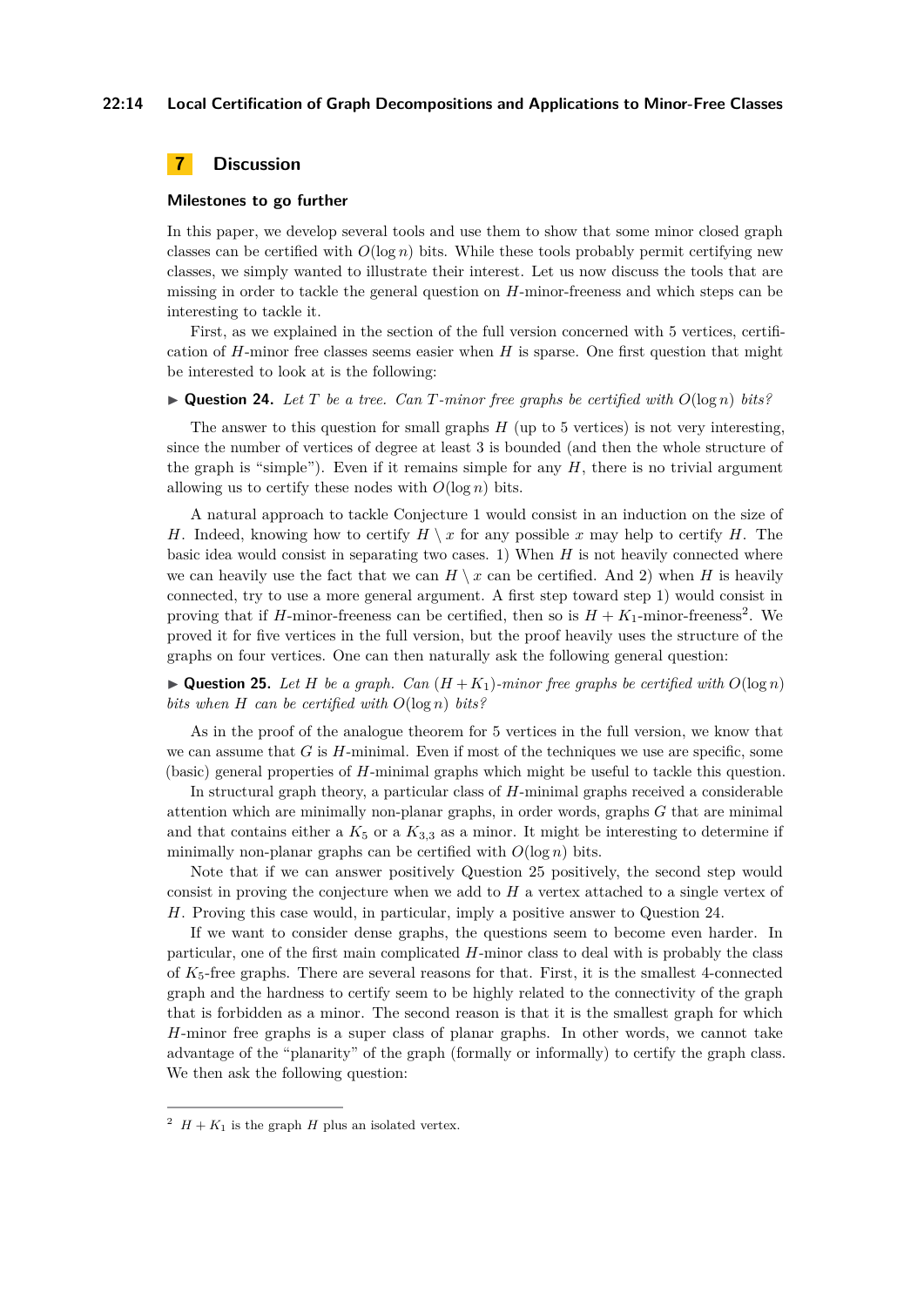### **22:14 Local Certification of Graph Decompositions and Applications to Minor-Free Classes**

# **7 Discussion**

#### **Milestones to go further**

In this paper, we develop several tools and use them to show that some minor closed graph classes can be certified with  $O(\log n)$  bits. While these tools probably permit certifying new classes, we simply wanted to illustrate their interest. Let us now discuss the tools that are missing in order to tackle the general question on *H*-minor-freeness and which steps can be interesting to tackle it.

First, as we explained in the section of the full version concerned with 5 vertices, certification of *H*-minor free classes seems easier when *H* is sparse. One first question that might be interested to look at is the following:

<span id="page-13-2"></span> $\blacktriangleright$  **Question 24.** Let T be a tree. Can T-minor free graphs be certified with  $O(\log n)$  bits?

The answer to this question for small graphs *H* (up to 5 vertices) is not very interesting, since the number of vertices of degree at least 3 is bounded (and then the whole structure of the graph is "simple"). Even if it remains simple for any *H*, there is no trivial argument allowing us to certify these nodes with  $O(\log n)$  bits.

A natural approach to tackle Conjecture [1](#page-1-0) would consist in an induction on the size of *H*. Indeed, knowing how to certify  $H \setminus x$  for any possible *x* may help to certify *H*. The basic idea would consist in separating two cases. 1) When *H* is not heavily connected where we can heavily use the fact that we can  $H \setminus x$  can be certified. And 2) when *H* is heavily connected, try to use a more general argument. A first step toward step 1) would consist in proving that if *H*-minor-freeness can be certified, then so is  $H + K_1$ -minor-freeness<sup>[2](#page-13-0)</sup>. We proved it for five vertices in the full version, but the proof heavily uses the structure of the graphs on four vertices. One can then naturally ask the following general question:

<span id="page-13-1"></span> $\blacktriangleright$  **Question 25.** Let *H* be a graph. Can  $(H + K_1)$ -minor free graphs be certified with  $O(\log n)$ *bits when H can be certified with O*(log *n*) *bits?*

As in the proof of the analogue theorem for 5 vertices in the full version, we know that we can assume that *G* is *H*-minimal. Even if most of the techniques we use are specific, some (basic) general properties of *H*-minimal graphs which might be useful to tackle this question.

In structural graph theory, a particular class of *H*-minimal graphs received a considerable attention which are minimally non-planar graphs, in order words, graphs *G* that are minimal and that contains either a  $K_5$  or a  $K_{3,3}$  as a minor. It might be interesting to determine if minimally non-planar graphs can be certified with  $O(\log n)$  bits.

Note that if we can answer positively Question [25](#page-13-1) positively, the second step would consist in proving the conjecture when we add to *H* a vertex attached to a single vertex of *H*. Proving this case would, in particular, imply a positive answer to Question [24.](#page-13-2)

If we want to consider dense graphs, the questions seem to become even harder. In particular, one of the first main complicated *H*-minor class to deal with is probably the class of *K*5-free graphs. There are several reasons for that. First, it is the smallest 4-connected graph and the hardness to certify seem to be highly related to the connectivity of the graph that is forbidden as a minor. The second reason is that it is the smallest graph for which *H*-minor free graphs is a super class of planar graphs. In other words, we cannot take advantage of the "planarity" of the graph (formally or informally) to certify the graph class. We then ask the following question:

<span id="page-13-0"></span> $2 H + K_1$  is the graph *H* plus an isolated vertex.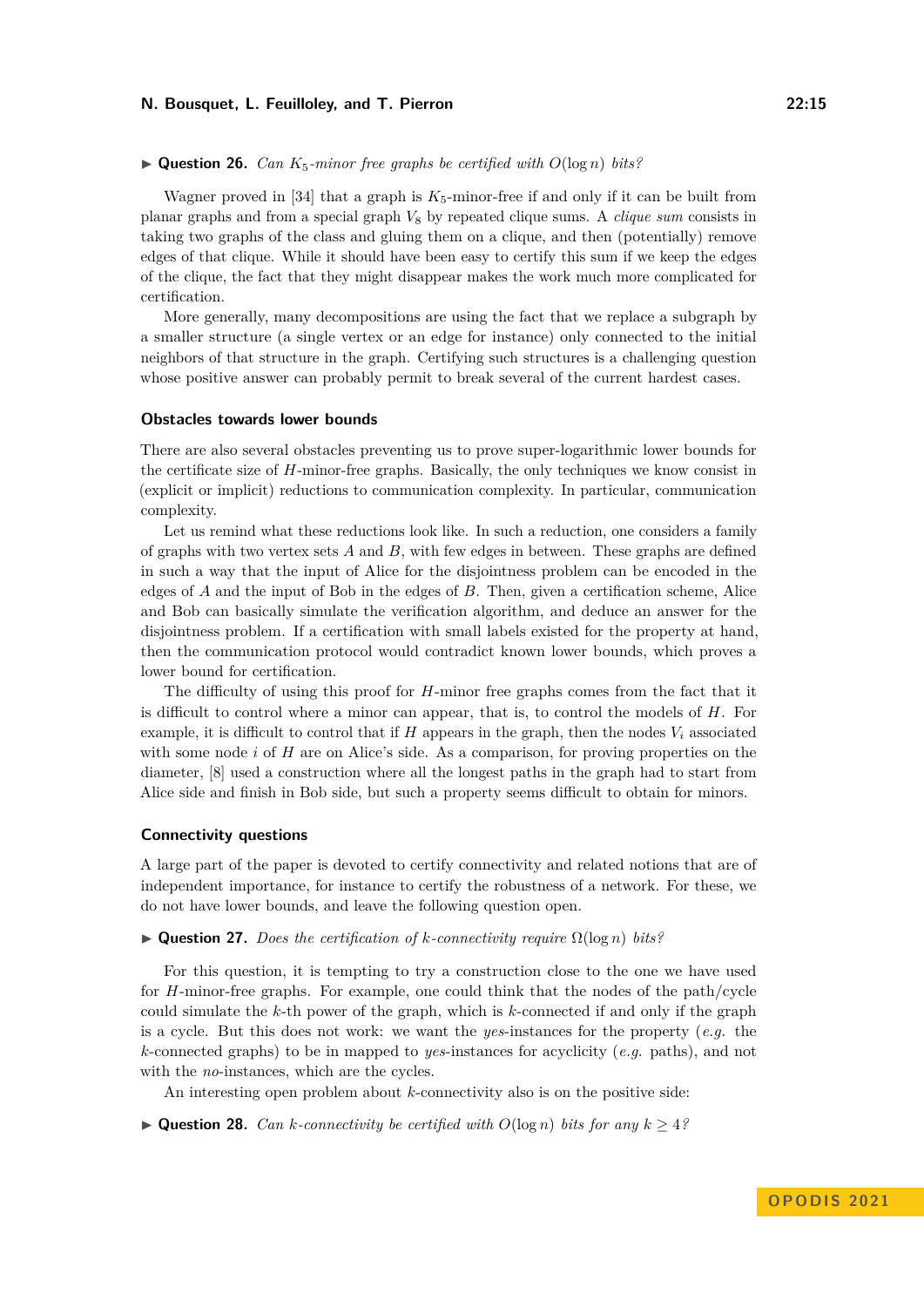#### $\blacktriangleright$  **Question 26.** *Can*  $K_5$ -minor free graphs be certified with  $O(\log n)$  bits?

Wagner proved in [\[34\]](#page-16-15) that a graph is  $K_5$ -minor-free if and only if it can be built from planar graphs and from a special graph *V*<sup>8</sup> by repeated clique sums. A *clique sum* consists in taking two graphs of the class and gluing them on a clique, and then (potentially) remove edges of that clique. While it should have been easy to certify this sum if we keep the edges of the clique, the fact that they might disappear makes the work much more complicated for certification.

More generally, many decompositions are using the fact that we replace a subgraph by a smaller structure (a single vertex or an edge for instance) only connected to the initial neighbors of that structure in the graph. Certifying such structures is a challenging question whose positive answer can probably permit to break several of the current hardest cases.

# **Obstacles towards lower bounds**

There are also several obstacles preventing us to prove super-logarithmic lower bounds for the certificate size of *H*-minor-free graphs. Basically, the only techniques we know consist in (explicit or implicit) reductions to communication complexity. In particular, communication complexity.

Let us remind what these reductions look like. In such a reduction, one considers a family of graphs with two vertex sets *A* and *B*, with few edges in between. These graphs are defined in such a way that the input of Alice for the disjointness problem can be encoded in the edges of *A* and the input of Bob in the edges of *B*. Then, given a certification scheme, Alice and Bob can basically simulate the verification algorithm, and deduce an answer for the disjointness problem. If a certification with small labels existed for the property at hand, then the communication protocol would contradict known lower bounds, which proves a lower bound for certification.

The difficulty of using this proof for *H*-minor free graphs comes from the fact that it is difficult to control where a minor can appear, that is, to control the models of *H*. For example, it is difficult to control that if  $H$  appears in the graph, then the nodes  $V_i$  associated with some node *i* of *H* are on Alice's side. As a comparison, for proving properties on the diameter, [\[8\]](#page-15-1) used a construction where all the longest paths in the graph had to start from Alice side and finish in Bob side, but such a property seems difficult to obtain for minors.

#### **Connectivity questions**

A large part of the paper is devoted to certify connectivity and related notions that are of independent importance, for instance to certify the robustness of a network. For these, we do not have lower bounds, and leave the following question open.

#### ▶ **Question 27.** *Does the certification of k-connectivity require* Ω(log *n*) *bits?*

For this question, it is tempting to try a construction close to the one we have used for *H*-minor-free graphs. For example, one could think that the nodes of the path/cycle could simulate the *k*-th power of the graph, which is *k*-connected if and only if the graph is a cycle. But this does not work: we want the *yes*-instances for the property (*e.g.* the *k*-connected graphs) to be in mapped to *yes*-instances for acyclicity (*e.g.* paths), and not with the *no*-instances, which are the cycles.

An interesting open problem about *k*-connectivity also is on the positive side:

▶ **Question 28.** *Can k*-connectivity be certified with  $O(\log n)$  bits for any  $k ≥ 4$ ?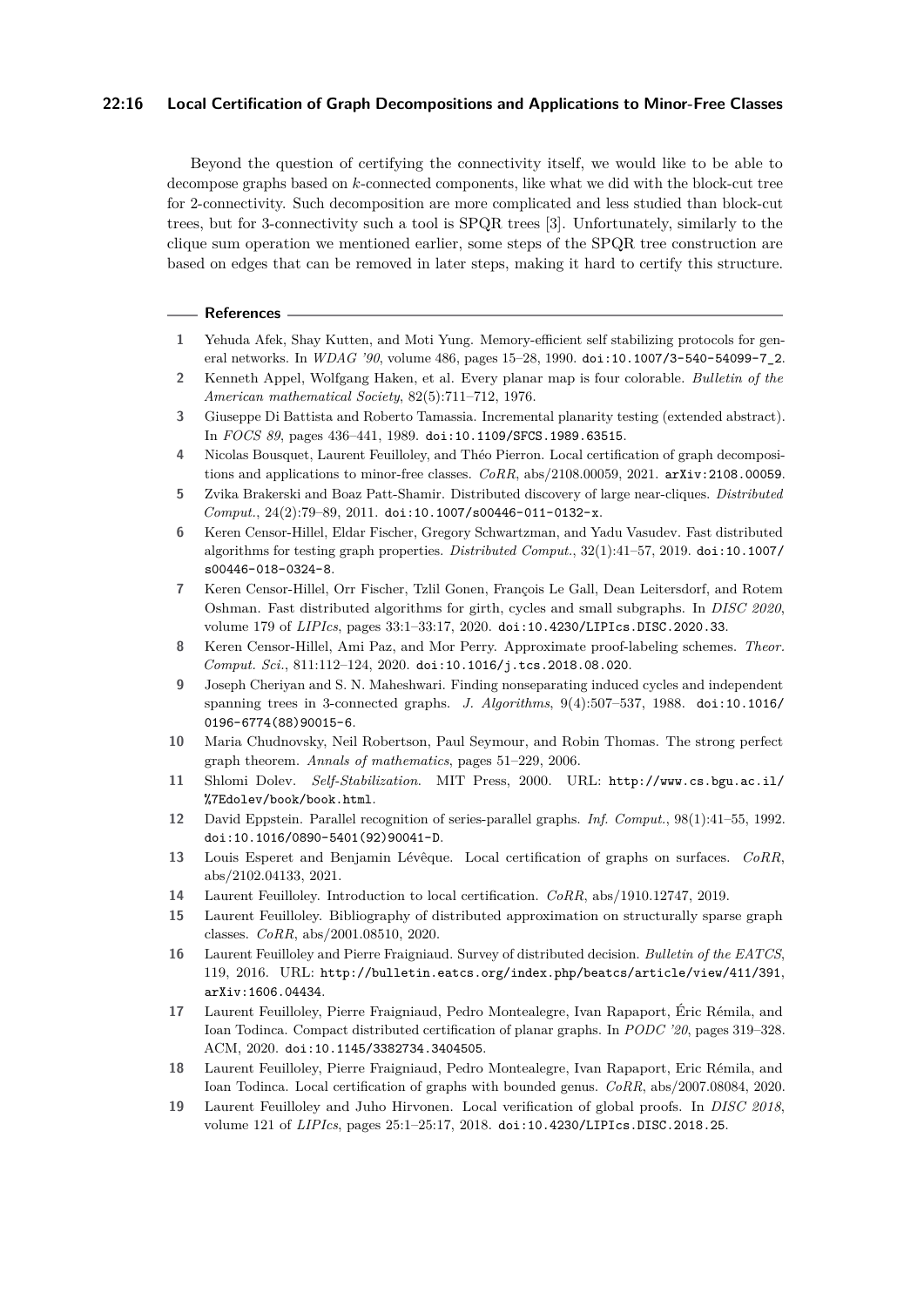## **22:16 Local Certification of Graph Decompositions and Applications to Minor-Free Classes**

Beyond the question of certifying the connectivity itself, we would like to be able to decompose graphs based on *k*-connected components, like what we did with the block-cut tree for 2-connectivity. Such decomposition are more complicated and less studied than block-cut trees, but for 3-connectivity such a tool is SPQR trees [\[3\]](#page-15-18). Unfortunately, similarly to the clique sum operation we mentioned earlier, some steps of the SPQR tree construction are based on edges that can be removed in later steps, making it hard to certify this structure.

#### **References**

- <span id="page-15-15"></span>**1** Yehuda Afek, Shay Kutten, and Moti Yung. Memory-efficient self stabilizing protocols for general networks. In *WDAG '90*, volume 486, pages 15–28, 1990. [doi:10.1007/3-540-54099-7\\_2](https://doi.org/10.1007/3-540-54099-7_2).
- <span id="page-15-6"></span>**2** Kenneth Appel, Wolfgang Haken, et al. Every planar map is four colorable. *Bulletin of the American mathematical Society*, 82(5):711–712, 1976.
- <span id="page-15-18"></span>**3** Giuseppe Di Battista and Roberto Tamassia. Incremental planarity testing (extended abstract). In *FOCS 89*, pages 436–441, 1989. [doi:10.1109/SFCS.1989.63515](https://doi.org/10.1109/SFCS.1989.63515).
- <span id="page-15-0"></span>**4** Nicolas Bousquet, Laurent Feuilloley, and Théo Pierron. Local certification of graph decompositions and applications to minor-free classes. *CoRR*, abs/2108.00059, 2021. [arXiv:2108.00059](http://arxiv.org/abs/2108.00059).
- <span id="page-15-13"></span>**5** Zvika Brakerski and Boaz Patt-Shamir. Distributed discovery of large near-cliques. *Distributed Comput.*, 24(2):79–89, 2011. [doi:10.1007/s00446-011-0132-x](https://doi.org/10.1007/s00446-011-0132-x).
- <span id="page-15-12"></span>**6** Keren Censor-Hillel, Eldar Fischer, Gregory Schwartzman, and Yadu Vasudev. Fast distributed algorithms for testing graph properties. *Distributed Comput.*, 32(1):41–57, 2019. [doi:10.1007/](https://doi.org/10.1007/s00446-018-0324-8) [s00446-018-0324-8](https://doi.org/10.1007/s00446-018-0324-8).
- <span id="page-15-11"></span>**7** Keren Censor-Hillel, Orr Fischer, Tzlil Gonen, François Le Gall, Dean Leitersdorf, and Rotem Oshman. Fast distributed algorithms for girth, cycles and small subgraphs. In *DISC 2020*, volume 179 of *LIPIcs*, pages 33:1–33:17, 2020. [doi:10.4230/LIPIcs.DISC.2020.33](https://doi.org/10.4230/LIPIcs.DISC.2020.33).
- <span id="page-15-1"></span>**8** Keren Censor-Hillel, Ami Paz, and Mor Perry. Approximate proof-labeling schemes. *Theor. Comput. Sci.*, 811:112–124, 2020. [doi:10.1016/j.tcs.2018.08.020](https://doi.org/10.1016/j.tcs.2018.08.020).
- <span id="page-15-16"></span>**9** Joseph Cheriyan and S. N. Maheshwari. Finding nonseparating induced cycles and independent spanning trees in 3-connected graphs. *J. Algorithms*, 9(4):507–537, 1988. [doi:10.1016/](https://doi.org/10.1016/0196-6774(88)90015-6) [0196-6774\(88\)90015-6](https://doi.org/10.1016/0196-6774(88)90015-6).
- <span id="page-15-7"></span>**10** Maria Chudnovsky, Neil Robertson, Paul Seymour, and Robin Thomas. The strong perfect graph theorem. *Annals of mathematics*, pages 51–229, 2006.
- <span id="page-15-9"></span>**11** Shlomi Dolev. *Self-Stabilization*. MIT Press, 2000. URL: [http://www.cs.bgu.ac.il/](http://www.cs.bgu.ac.il/%7Edolev/book/book.html) [%7Edolev/book/book.html](http://www.cs.bgu.ac.il/%7Edolev/book/book.html).
- <span id="page-15-17"></span>**12** David Eppstein. Parallel recognition of series-parallel graphs. *Inf. Comput.*, 98(1):41–55, 1992. [doi:10.1016/0890-5401\(92\)90041-D](https://doi.org/10.1016/0890-5401(92)90041-D).
- <span id="page-15-4"></span>**13** Louis Esperet and Benjamin Lévêque. Local certification of graphs on surfaces. *CoRR*, abs/2102.04133, 2021.
- <span id="page-15-5"></span>**14** Laurent Feuilloley. Introduction to local certification. *CoRR*, abs/1910.12747, 2019.
- <span id="page-15-14"></span>**15** Laurent Feuilloley. Bibliography of distributed approximation on structurally sparse graph classes. *CoRR*, abs/2001.08510, 2020.
- <span id="page-15-10"></span>**16** Laurent Feuilloley and Pierre Fraigniaud. Survey of distributed decision. *Bulletin of the EATCS*, 119, 2016. URL: <http://bulletin.eatcs.org/index.php/beatcs/article/view/411/391>, [arXiv:1606.04434](http://arxiv.org/abs/1606.04434).
- <span id="page-15-2"></span>**17** Laurent Feuilloley, Pierre Fraigniaud, Pedro Montealegre, Ivan Rapaport, Éric Rémila, and Ioan Todinca. Compact distributed certification of planar graphs. In *PODC '20*, pages 319–328. ACM, 2020. [doi:10.1145/3382734.3404505](https://doi.org/10.1145/3382734.3404505).
- <span id="page-15-3"></span>**18** Laurent Feuilloley, Pierre Fraigniaud, Pedro Montealegre, Ivan Rapaport, Eric Rémila, and Ioan Todinca. Local certification of graphs with bounded genus. *CoRR*, abs/2007.08084, 2020.
- <span id="page-15-8"></span>**19** Laurent Feuilloley and Juho Hirvonen. Local verification of global proofs. In *DISC 2018*, volume 121 of *LIPIcs*, pages 25:1–25:17, 2018. [doi:10.4230/LIPIcs.DISC.2018.25](https://doi.org/10.4230/LIPIcs.DISC.2018.25).